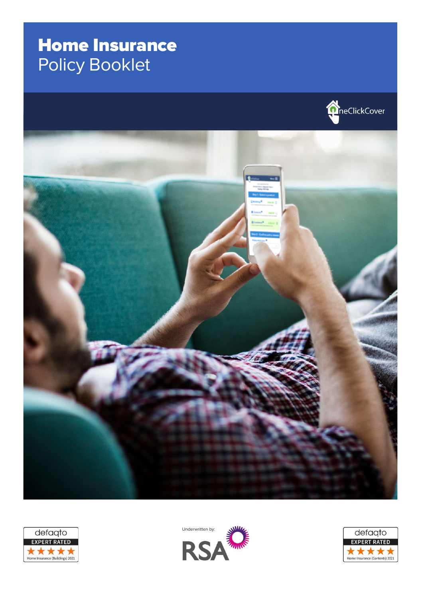# Home Insurance Policy Booklet









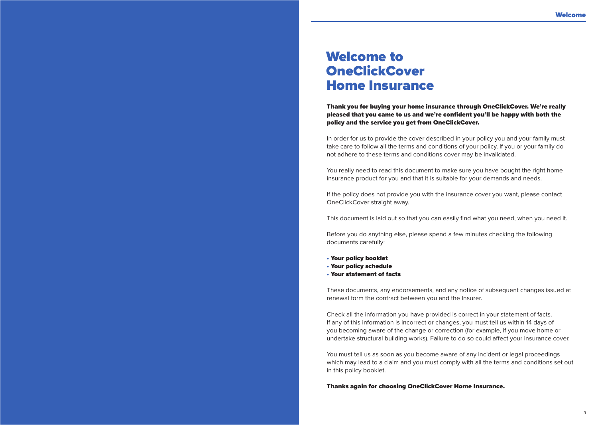# Welcome to **OneClickCover** Home Insurance

Thank you for buying your home insurance through OneClickCover. We're really pleased that you came to us and we're confident you'll be happy with both the policy and the service you get from OneClickCover.

In order for us to provide the cover described in your policy you and your family must take care to follow all the terms and conditions of your policy. If you or your family do not adhere to these terms and conditions cover may be invalidated.

You really need to read this document to make sure you have bought the right home insurance product for you and that it is suitable for your demands and needs.

If the policy does not provide you with the insurance cover you want, please contact OneClickCover straight away.

This document is laid out so that you can easily find what you need, when you need it.

Before you do anything else, please spend a few minutes checking the following documents carefully:

- 
- Your policy booklet Your policy schedule Your statement of facts
- 

These documents, any endorsements, and any notice of subsequent changes issued at renewal form the contract between you and the Insurer.

Check all the information you have provided is correct in your statement of facts. If any of this information is incorrect or changes, you must tell us within 14 days of you becoming aware of the change or correction (for example, if you move home or undertake structural building works). Failure to do so could affect your insurance cover.

You must tell us as soon as you become aware of any incident or legal proceedings which may lead to a claim and you must comply with all the terms and conditions set out in this policy booklet.

Thanks again for choosing OneClickCover Home Insurance.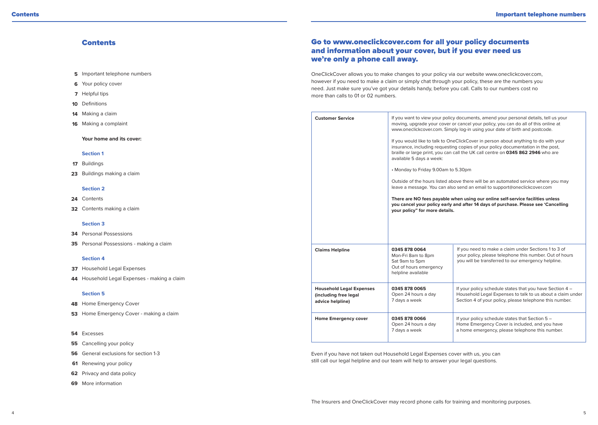# **Contents**

- **5** Important telephone numbers
- Your policy cover **6**
- **7** Helpful tips
- **10** Definitions
- Making a claim **14**
- Making a complaint **16**

**Your home and its cover:**

### **Section 1**

- Buildings **17**
- Buildings making a claim **23**

# **Section 2**

- Contents **24**
- Contents making a claim **32**

### **Section 3**

- Personal Possessions **34**
- Personal Possessions making a claim **35**

#### **Section 4**

- Household Legal Expenses **37**
- Household Legal Expenses making a claim **44**

# **Section 5**

- 48 Home Emergency Cover
- **53** Home Emergency Cover making a claim
- Excesses **54**
- Cancelling your policy **55**
- **56** General exclusions for section 1-3
- 61 Renewing your policy
- **62** Privacy and data policy
- More information **69**

# Go to www.oneclickcover.com for all your policy documents and information about your cover, but if you ever need us we're only a phone call away.

OneClickCover allows you to make changes to your policy via our website www.oneclickcover.com, however if you need to make a claim or simply chat through your policy, these are the numbers you need. Just make sure you've got your details handy, before you call. Calls to our numbers cost no more than calls to 01 or 02 numbers.

| <b>Customer Service</b>                                                      | available 5 days a week:<br>• Monday to Friday 9.00am to 5.30pm<br>your policy" for more details.     | If you want to view your policy documents, amend your personal details, tell us your<br>moving, upgrade your cover or cancel your policy, you can do all of this online at<br>www.oneclickcover.com. Simply log-in using your date of birth and postcode.<br>If you would like to talk to OneClickCover in person about anything to do with your<br>insurance, including requesting copies of your policy documentation in the post,<br>braille or large print, you can call the UK call centre on 0345 862 2946 who are<br>Outside of the hours listed above there will be an automated service where you may<br>leave a message. You can also send an email to support@oneclickcover.com<br>There are NO fees payable when using our online self-service facilities unless<br>you cancel your policy early and after 14 days of purchase. Please see 'Cancelling |
|------------------------------------------------------------------------------|-------------------------------------------------------------------------------------------------------|--------------------------------------------------------------------------------------------------------------------------------------------------------------------------------------------------------------------------------------------------------------------------------------------------------------------------------------------------------------------------------------------------------------------------------------------------------------------------------------------------------------------------------------------------------------------------------------------------------------------------------------------------------------------------------------------------------------------------------------------------------------------------------------------------------------------------------------------------------------------|
| <b>Claims Helpline</b>                                                       | 0345 878 0064<br>Mon-Fri 8am to 8pm<br>Sat 9am to 5pm<br>Out of hours emergency<br>helpline available | If you need to make a claim under Sections 1 to 3 of<br>your policy, please telephone this number. Out of hours<br>you will be transferred to our emergency helpline.                                                                                                                                                                                                                                                                                                                                                                                                                                                                                                                                                                                                                                                                                              |
| <b>Household Legal Expenses</b><br>(including free legal<br>advice helpline) | 0345 878 0065<br>Open 24 hours a day<br>7 days a week                                                 | If your policy schedule states that you have Section 4 -<br>Household Legal Expenses to talk to us about a claim under<br>Section 4 of your policy, please telephone this number.                                                                                                                                                                                                                                                                                                                                                                                                                                                                                                                                                                                                                                                                                  |
| Home Emergency cover                                                         | 0345 878 0066<br>Open 24 hours a day<br>7 days a week                                                 | If your policy schedule states that Section 5 -<br>Home Emergency Cover is included, and you have<br>a home emergency, please telephone this number.                                                                                                                                                                                                                                                                                                                                                                                                                                                                                                                                                                                                                                                                                                               |

Even if you have not taken out Household Legal Expenses cover with us, you can still call our legal helpline and our team will help to answer your legal questions.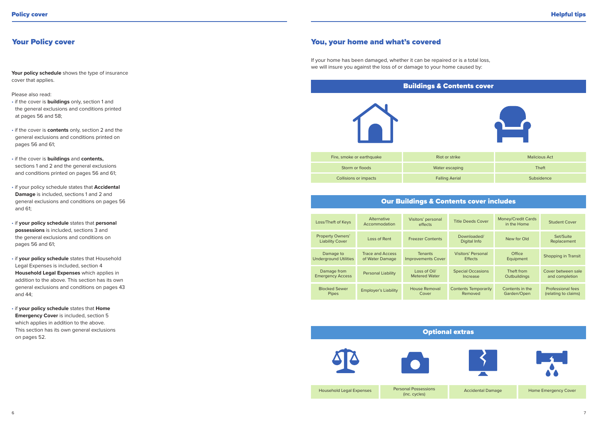# **The Title Title Title Title Title Title Title Title Title Title Title Title Title Title Title Title Title Titl**

Your policy schedule shows the type of insurance cover that applies.

# Please also read:

- if the cover is **buildings** only, section 1 and the general exclusions and conditions printed at pages 56 and 58;
- if the cover is **contents** only, section 2 and the general exclusions and conditions printed on pages 56 and 61;
- if the cover is **buildings** and **contents,** sections 1 and 2 and the general exclusions and conditions printed on pages 56 and 61;
- if your policy schedule states that **Accidental Damage** is included, sections 1 and 2 and general exclusions and conditions on pages 56 and 61;
- if **your policy schedule** states that **personal possessions** is included, sections 3 and the general exclusions and conditions on pages 56 and 61;
- if **your policy schedule** states that Household Legal Expenses is included, section 4 **Household Legal Expenses** which applies in addition to the above. This section has its own general exclusions and conditions on pages 43 and 44;
- if **your policy schedule** states that **Home Emergency Cover** is included, section 5 which applies in addition to the above. This section has its own general exclusions on pages 52.

# You, your home and what's covered

If your home has been damaged, whether it can be repaired or is a total loss, we will insure you against the loss of or damage to your home caused by:



# Our Buildings & Contents cover includes

| Loss/Theft of Keys                                | Alternative<br>Accommodation        | Visitors' personal<br>effects               | <b>Title Deeds Cover</b>               | Money/Credit Cards<br>in the Home | <b>Student Cover</b>                      |
|---------------------------------------------------|-------------------------------------|---------------------------------------------|----------------------------------------|-----------------------------------|-------------------------------------------|
| <b>Property Owners'</b><br><b>Liability Cover</b> | Loss of Rent                        | <b>Freezer Contents</b>                     | Downloaded/<br>Digital Info            | New for Old                       | Set/Suite<br>Replacement                  |
| Damage to<br><b>Underground Utilities</b>         | Trace and Access<br>of Water Damage | <b>Tenants</b><br><b>Improvements Cover</b> | Visitors' Personal<br><b>Effects</b>   | Office<br>Equipment               | Shopping in Transit                       |
| Damage from<br><b>Emergency Access</b>            | <b>Personal Liability</b>           | Loss of Oil/<br><b>Metered Water</b>        | <b>Special Occasions</b><br>Increase   | Theft from<br>Outbuildings        | Cover between sale<br>and completion      |
| <b>Blocked Sewer</b><br>Pipes                     | <b>Employer's Liability</b>         | <b>House Removal</b><br>Cover               | <b>Contents Temporarily</b><br>Removed | Contents in the<br>Garden/Open    | Professional fees<br>(relating to claims) |

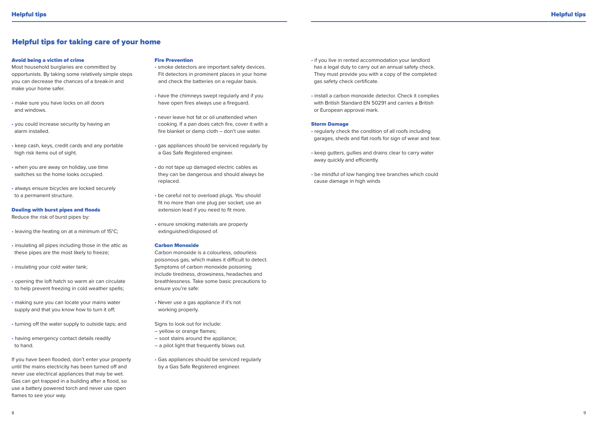# Helpful tips for taking care of your home

#### Avoid being a victim of crime

Most household burglaries are committed by opportunists. By taking some relatively simple steps you can decrease the chances of a break-in and make your home safer.

- make sure you have locks on all doors and windows.
- you could increase security by having an alarm installed.
- keep cash, keys, credit cards and any portable high risk items out of sight.
- when you are away on holiday, use time switches so the home looks occupied.
- always ensure bicycles are locked securely to a permanent structure.

### Dealing with burst pipes and floods

Reduce the risk of burst pipes by:

• leaving the heating on at a minimum of 15°C;

- insulating all pipes including those in the attic as these pipes are the most likely to freeze;
- insulating your cold water tank;
- opening the loft hatch so warm air can circulate to help prevent freezing in cold weather spells;
- making sure you can locate your mains water supply and that you know how to turn it off;
- turning off the water supply to outside taps; and
- having emergency contact details readily to hand.

If you have been flooded, don't enter your property until the mains electricity has been turned off and never use electrical appliances that may be wet. Gas can get trapped in a building after a flood, so use a battery powered torch and never use open flames to see your way.

#### Fire Prevention

• smoke detectors are important safety devices. Fit detectors in prominent places in your home and check the batteries on a regular basis.

- have the chimneys swept regularly and if you have open fires always use a fireguard.
- never leave hot fat or oil unattended when cooking. If a pan does catch fire, cover it with a fire blanket or damp cloth – don't use water.
- gas appliances should be serviced regularly by a Gas Safe Registered engineer.
- do not tape up damaged electric cables as they can be dangerous and should always be replaced.
- be careful not to overload plugs. You should fit no more than one plug per socket; use an extension lead if you need to fit more.
- ensure smoking materials are properly extinguished/disposed of.

### Carbon Monoxide

- Carbon monoxide is a colourless, odourless poisonous gas, which makes it difficult to detect. Symptoms of carbon monoxide poisoning include tiredness, drowsiness, headaches and breathlessness. Take some basic precautions to ensure you're safe:
- Never use a gas appliance if it's not working properly.
- Signs to look out for include:
- yellow or orange flames;
- soot stains around the appliance;
- a pilot light that frequently blows out.
- Gas appliances should be serviced regularly by a Gas Safe Registered engineer.
- if you live in rented accommodation your landlord has a legal duty to carry out an annual safety check. They must provide you with a copy of the completed gas safety check certificate.
- install a carbon monoxide detector. Check it complies with British Standard EN 50291 and carries a British or European approval mark.

### Storm Damage

- regularly check the condition of all roofs including garages, sheds and flat roofs for sign of wear and tear.
- keep gutters, gullies and drains clear to carry water away quickly and efficiently.
- be mindful of low hanging tree branches which could cause damage in high winds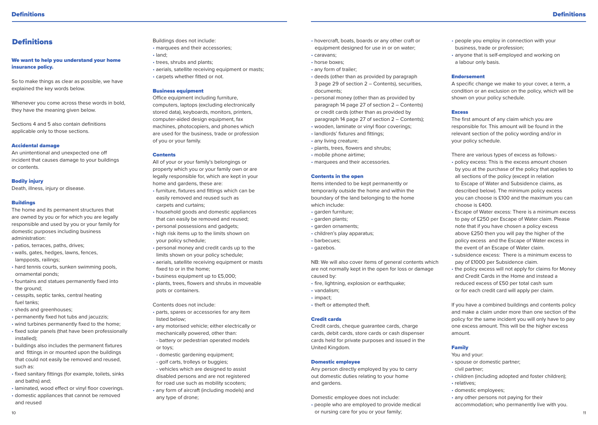# **Definitions**

# We want to help you understand your home insurance policy.

So to make things as clear as possible, we have explained the key words below.

Whenever you come across these words in bold, they have the meaning given below.

Sections 4 and 5 also contain definitions applicable only to those sections.

#### Accidental damage

An unintentional and unexpected one off incident that causes damage to your buildings or contents.

# Bodily injury

Death, illness, injury or disease.

# **Buildings**

The home and its permanent structures that are owned by you or for which you are legally responsible and used by you or your family for domestic purposes including business administration:

- patios, terraces, paths, drives;
- walls, gates, hedges, lawns, fences, lampposts, railings;
- hard tennis courts, sunken swimming pools, ornamental ponds; • fountains and statues permanently fixed into
- the ground:
- cesspits, septic tanks, central heating fuel tanks;
- sheds and greenhouses:
- permanently fixed hot tubs and jacuzzis;
- wind turbines permanently fixed to the home;
- fixed solar panels (that have been professionally installed);
- buildings also includes the permanent fixtures and fittings in or mounted upon the buildings that could not easily be removed and reused, such as:
- fixed sanitary fittings (for example, toilets, sinks and baths) and;
- laminated, wood effect or vinyl floor coverings. • domestic appliances that cannot be removed and reused

Buildings does not include: • marquees and their accessories; • land;

- trees, shrubs and plants;
- aerials, satellite receiving equipment or masts;
- carpets whether fitted or not.

### Business equipment

Office equipment including furniture, computers, laptops (excluding electronically stored data), keyboards, monitors, printers, computer-aided design equipment, fax machines, photocopiers, and phones which are used for the business, trade or profession of you or your family.

#### Contents

All of your or your family's belongings or property which you or your family own or are legally responsible for, which are kept in your home and gardens, these are:

- furniture, fixtures and fittings which can be easily removed and reused such as carpets and curtains;
- household goods and domestic appliances that can easily be removed and reused;
- personal possessions and gadgets;
- high risk items up to the limits shown on your policy schedule;
- personal money and credit cards up to the limits shown on your policy schedule;
- aerials, satellite receiving equipment or masts fixed to or in the home;
- business equipment up to £5,000;
- plants, trees, flowers and shrubs in moveable pots or containers.

Contents does not include:

- parts, spares or accessories for any item listed below;
- any motorised vehicle; either electrically or mechanically powered, other than: - battery or pedestrian operated models or toys;
- domestic gardening equipment; - golf carts, trolleys or buggies;
- vehicles which are designed to assist disabled persons and are not registered for road use such as mobility scooters;
- any form of aircraft (including models) and any type of drone;
- hovercraft, boats, boards or any other craft or equipment designed for use in or on water;
- caravans;
- horse boxes;
- any form of trailer;
- deeds (other than as provided by paragraph 3 page 29 of section 2 – Contents), securities, documents;
- personal money (other than as provided by paragraph 14 page 27 of section 2 – Contents) or credit cards (other than as provided by paragraph 14 page 27 of section 2 – Contents);
- wooden, laminate or vinyl floor coverings;
- landlords' fixtures and fittings;
- any living creature;
- plants, trees, flowers and shrubs;
- mobile phone airtime;
- marquees and their accessories.

### Contents in the open

Items intended to be kept permanently or temporarily outside the home and within the boundary of the land belonging to the home which include:

- garden furniture;
- garden plants;
- garden ornaments;
- children's play apparatus;
- barbecues;
- gazebos.

NB: We will also cover items of general contents which are not normally kept in the open for loss or damage caused by:

- fire, lightning, explosion or earthquake;
- vandalism;
- impact;
- theft or attempted theft.

# Credit cards

Credit cards, cheque guarantee cards, charge cards, debit cards, store cards or cash dispenser cards held for private purposes and issued in the United Kingdom.

# Domestic employee

Any person directly employed by you to carry out domestic duties relating to your home and gardens.

Domestic employee does not include:

or nursing care for you or your family; the contract of the contract of the contract of the contract of the contract of the contract of the contract of the contract of the contract of the contract of the contract of the co • people who are employed to provide medical

- people you employ in connection with your business, trade or profession;
- anyone that is self-employed and working on a labour only basis.

### Endorsement

A specific change we make to your cover, a term, a condition or an exclusion on the policy, which will be shown on your policy schedule.

### Excess

The first amount of any claim which you are responsible for. This amount will be found in the relevant section of the policy wording and/or in your policy schedule.

There are various types of excess as follows:-

- policy excess: This is the excess amount chosen by you at the purchase of the policy that applies to all sections of the policy (except in relation to Escape of Water and Subsidence claims, as described below). The minimum policy excess you can choose is £100 and the maximum you can choose is £400.
- Escape of Water excess: There is a minimum excess to pay of £250 per Escape of Water claim. Please note that if you have chosen a policy excess above £250 then you will pay the higher of the policy excess and the Escape of Water excess in the event of an Escape of Water claim.
- subsidence excess: There is a minimum excess to pay of £1000 per Subsidence claim.
- the policy excess will not apply for claims for Money and Credit Cards in the Home and instead a reduced excess of £50 per total cash sum or for each credit card will apply per claim.

If you have a combined buildings and contents policy and make a claim under more than one section of the policy for the same incident you will only have to pay one excess amount. This will be the higher excess amount.

# Family

- You and your:
- spouse or domestic partner;
- civil partner;
- children (including adopted and foster children);
- relatives;
- domestic employees;
- any other persons not paying for their accommodation; who permanently live with you.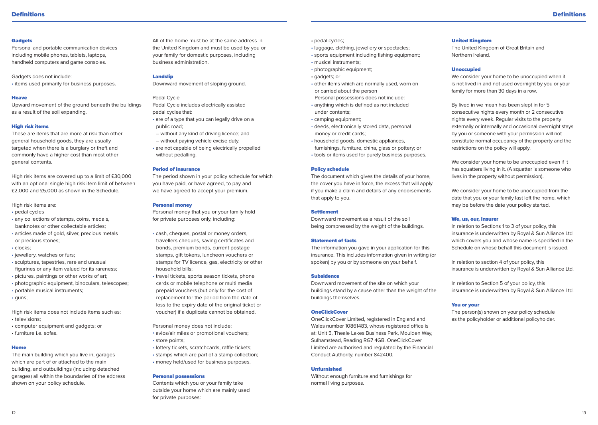#### **Gadgets**

Personal and portable communication devices including mobile phones, tablets, laptops, handheld computers and game consoles.

Gadgets does not include: • items used primarily for business purposes.

### Heave

Upward movement of the ground beneath the buildings as a result of the soil expanding.

# High risk items

These are items that are more at risk than other general household goods, they are usually targeted when there is a burglary or theft and commonly have a higher cost than most other general contents.

High risk items are covered up to a limit of £30,000 with an optional single high risk item limit of between £2,000 and £5,000 as shown in the Schedule.

- High risk items are:
- pedal cycles
- any collections of stamps, coins, medals, banknotes or other collectable articles;
- articles made of gold, silver, precious metals or precious stones;
- clocks;
- jewellery, watches or furs;
- sculptures, tapestries, rare and unusual figurines or any item valued for its rareness;
- pictures, paintings or other works of art;
- photographic equipment, binoculars, telescopes;
- portable musical instruments;
- guns;

High risk items does not include items such as: • televisions;

• computer equipment and gadgets; or • furniture i.e. sofas.

### Home

The main building which you live in, garages which are part of or attached to the main building, and outbuildings (including detached garages) all within the boundaries of the address shown on your policy schedule.

All of the home must be at the same address in the United Kingdom and must be used by you or your family for domestic purposes, including business administration.

# Landslip

Downward movement of sloping ground.

# Pedal Cycle

- Pedal Cycle includes electrically assisted pedal cycles that:
- are of a type that you can legally drive on a public road;
- without any kind of driving licence; and – without paying vehicle excise duty.
- are not capable of being electrically propelled without pedalling.

# Period of insurance

The period shown in your policy schedule for which you have paid, or have agreed, to pay and we have agreed to accept your premium.

#### Personal money

Personal money that you or your family hold for private purposes only, including:

- cash, cheques, postal or money orders, travellers cheques, saving certificates and bonds, premium bonds, current postage stamps, gift tokens, luncheon vouchers or stamps for TV licence, gas, electricity or other household bills;
- travel tickets, sports season tickets, phone cards or mobile telephone or multi media prepaid vouchers (but only for the cost of replacement for the period from the date of loss to the expiry date of the original ticket or voucher) if a duplicate cannot be obtained.

Personal money does not include:

- avios/air miles or promotional vouchers; • store points;
- lottery tickets, scratchcards, raffle tickets;
- stamps which are part of a stamp collection; • money held/used for business purposes.
- Personal possessions

Contents which you or your family take outside your home which are mainly used for private purposes:

- pedal cycles;
- luggage, clothing, jewellery or spectacles;
- sports equipment including fishing equipment;
- musical instruments;
- photographic equipment;
- gadgets; or
- other items which are normally used, worn on or carried about the person
- Personal possessions does not include: • anything which is defined as not included
- under contents;
- camping equipment;
- deeds, electronically stored data, personal money or credit cards;
- household goods, domestic appliances,
- furnishings, furniture, china, glass or pottery; or • tools or items used for purely business purposes.
- 

# Policy schedule

The document which gives the details of your home, the cover you have in force, the excess that will apply if you make a claim and details of any endorsements that apply to you.

# Settlement

Downward movement as a result of the soil being compressed by the weight of the buildings.

### Statement of facts

The information you gave in your application for this insurance. This includes information given in writing (or spoken) by you or by someone on your behalf.

### Subsidence

Downward movement of the site on which your buildings stand by a cause other than the weight of the buildings themselves.

# **OneClickCover**

OneClickCover Limited, registered in England and Wales number 10861483, whose registered office is at: Unit 5, Theale Lakes Business Park, Moulden Way, Sulhamstead, Reading RG7 4GB. OneClickCover Limited are authorised and regulated by the Financial Conduct Authority, number 842400.

# Unfurnished

Without enough furniture and furnishings for normal living purposes.

# United Kingdom

The United Kingdom of Great Britain and Northern Ireland.

# Unoccupied

We consider your home to be unoccupied when it is not lived in and not used overnight by you or your family for more than 30 days in a row.

By lived in we mean has been slept in for 5 consecutive nights every month or 2 consecutive nights every week. Regular visits to the property externally or internally and occasional overnight stays by you or someone with your permission will not constitute normal occupancy of the property and the restrictions on the policy will apply.

We consider your home to be unoccupied even if it has squatters living in it. (A squatter is someone who lives in the property without permission).

We consider your home to be unoccupied from the date that you or your family last left the home, which may be before the date your policy started.

# We, us, our, Insurer

In relation to Sections 1 to 3 of your policy, this insurance is underwritten by Royal & Sun Alliance Ltd which covers you and whose name is specified in the Schedule on whose behalf this document is issued.

In relation to section 4 of your policy, this insurance is underwritten by Royal & Sun Alliance Ltd.

In relation to Section 5 of your policy, this insurance is underwritten by Royal & Sun Alliance Ltd.

# You or your

The person(s) shown on your policy schedule as the policyholder or additional policyholder.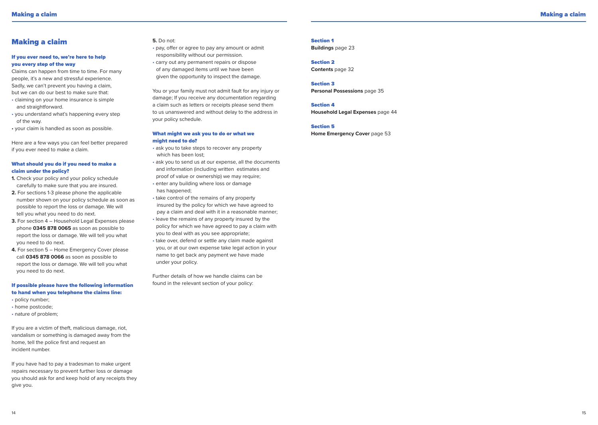# Making a claim

# If you ever need to, we're here to help you every step of the way

Claims can happen from time to time. For many people, it's a new and stressful experience. Sadly, we can't prevent you having a claim, but we can do our best to make sure that:

- claiming on your home insurance is simple and straightforward.
- you understand what's happening every step of the way.
- your claim is handled as soon as possible.

Here are a few ways you can feel better prepared if you ever need to make a claim.

# What should you do if you need to make a claim under the policy?

**1.** Check your policy and your policy schedule carefully to make sure that you are insured.

- **2.** For sections 1-3 please phone the applicable number shown on your policy schedule as soon as possible to report the loss or damage. We will tell you what you need to do next.
- **3.** For section 4 Household Legal Expenses please phone **0345 878 0065** as soon as possible to report the loss or damage. We will tell you what you need to do next.
- **4.** For section 5 Home Emergency Cover please call **0345 878 0066** as soon as possible to report the loss or damage. We will tell you what you need to do next.

# If possible please have the following information to hand when you telephone the claims line:

- policy number;
- home postcode;
- nature of problem;

If you are a victim of theft, malicious damage, riot, vandalism or something is damaged away from the home, tell the police first and request an incident number.

If you have had to pay a tradesman to make urgent repairs necessary to prevent further loss or damage you should ask for and keep hold of any receipts they give you.

#### **5.** Do not:

• pay, offer or agree to pay any amount or admit responsibility without our permission.

• carry out any permanent repairs or dispose of any damaged items until we have been given the opportunity to inspect the damage.

You or your family must not admit fault for any injury or damage; If you receive any documentation regarding a claim such as letters or receipts please send them to us unanswered and without delay to the address in your policy schedule.

# What might we ask you to do or what we might need to do?

- ask you to take steps to recover any property which has been lost;
- ask you to send us at our expense, all the documents and information (including written estimates and proof of value or ownership) we may require;
- enter any building where loss or damage has happened;
- take control of the remains of any property insured by the policy for which we have agreed to pay a claim and deal with it in a reasonable manner;
- leave the remains of any property insured by the policy for which we have agreed to pay a claim with you to deal with as you see appropriate;
- take over, defend or settle any claim made against you, or at our own expense take legal action in your name to get back any payment we have made under your policy.

Further details of how we handle claims can be found in the relevant section of your policy:

# Section 1

**Buildings** page 23

Section 2 **Contents** page 32

# Section 3

**Personal Possessions** page 35

# Section 4

**Household Legal Expenses** page 44

# Section 5

**Home Emergency Cover page 53**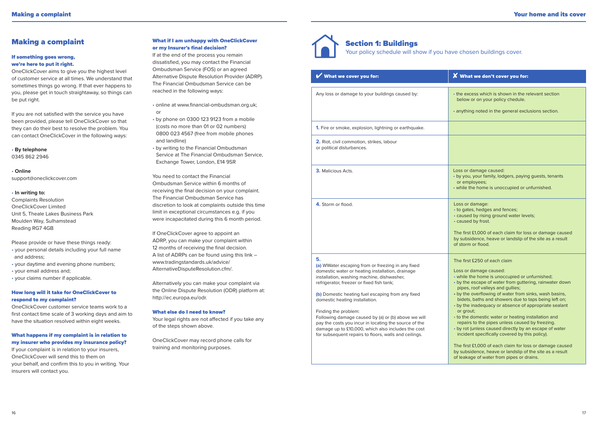# Making a complaint

# If something goes wrong, we're here to put it right.

OneClickCover aims to give you the highest level of customer service at all times. We understand that sometimes things go wrong. If that ever happens to you, please get in touch straightaway, so things can be put right.

If you are not satisfied with the service you have been provided, please tell OneClickCover so that they can do their best to resolve the problem. You can contact OneClickCover in the following ways:

• **By telephone** 0345 862 2946

• **Online** support@oneclickcover.com

#### • **In writing to:**

Complaints Resolution OneClickCover Limited Unit 5, Theale Lakes Business Park Moulden Way, Sulhamstead Reading RG7 4GB

Please provide or have these things ready: • your personal details including your full name

and address;

• your daytime and evening phone numbers;

• your email address and;

• your claims number if applicable.

# How long will it take for OneClickCover to respond to my complaint?

OneClickCover customer service teams work to a first contact time scale of 3 working days and aim to have the situation resolved within eight weeks.

# What happens if my complaint is in relation to my insurer who provides my insurance policy?

If your complaint is in relation to your insurers, OneClickCover will send this to them on your behalf, and confirm this to you in writing. Your insurers will contact you.

# What if I am unhappy with OneClickCover or my Insurer's final decision?

If at the end of the process you remain dissatisfied, you may contact the Financial Ombudsman Service (FOS) or an agreed Alternative Dispute Resolution Provider (ADRP). The Financial Ombudsman Service can be reached in the following ways:

• online at www.financial-ombudsman.org.uk; or

- by phone on 0300 123 9123 from a mobile (costs no more than 01 or 02 numbers) 0800 023 4567 (free from mobile phones and landline)
- by writing to the Financial Ombudsman Service at The Financial Ombudsman Service, Exchange Tower, London, E14 9SR

You need to contact the Financial Ombudsman Service within 6 months of receiving the final decision on your complaint. The Financial Ombudsman Service has discretion to look at complaints outside this time limit in exceptional circumstances e.g. if you were incapacitated during this 6 month period.

If OneClickCover agree to appoint an ADRP, you can make your complaint within 12 months of receiving the final decision. A list of ADRPs can be found using this link – www.tradingstandards.uk/advice/ AlternativeDisputeResolution.cfm/.

Alternatively you can make your complaint via the Online Dispute Resolution (ODR) platform at: http://ec.europa.eu/odr.

# What else do I need to know?

Your legal rights are not affected if you take any of the steps shown above.

OneClickCover may record phone calls for training and monitoring purposes.



# Section 1: Buildings Your policy schedule will show if you have chosen buildings cover.

| What we cover you for:                                                                                                                                                                                                                                                                                                                                                                                                                                                                                                                               | $\boldsymbol{X}$ What we don't cover you for:                                                                                                                                                                                                                                                                                                                                                                                                                                                                                                                                                                                                                                                                                                                                              |
|------------------------------------------------------------------------------------------------------------------------------------------------------------------------------------------------------------------------------------------------------------------------------------------------------------------------------------------------------------------------------------------------------------------------------------------------------------------------------------------------------------------------------------------------------|--------------------------------------------------------------------------------------------------------------------------------------------------------------------------------------------------------------------------------------------------------------------------------------------------------------------------------------------------------------------------------------------------------------------------------------------------------------------------------------------------------------------------------------------------------------------------------------------------------------------------------------------------------------------------------------------------------------------------------------------------------------------------------------------|
| Any loss or damage to your buildings caused by:                                                                                                                                                                                                                                                                                                                                                                                                                                                                                                      | • the excess which is shown in the relevant section<br>below or on your policy chedule.<br>• anything noted in the general exclusions section.                                                                                                                                                                                                                                                                                                                                                                                                                                                                                                                                                                                                                                             |
| 1. Fire or smoke, explosion, lightning or earthquake.                                                                                                                                                                                                                                                                                                                                                                                                                                                                                                |                                                                                                                                                                                                                                                                                                                                                                                                                                                                                                                                                                                                                                                                                                                                                                                            |
| 2. Riot, civil commotion, strikes, labour<br>or political disturbances.                                                                                                                                                                                                                                                                                                                                                                                                                                                                              |                                                                                                                                                                                                                                                                                                                                                                                                                                                                                                                                                                                                                                                                                                                                                                                            |
| <b>3.</b> Malicious Acts.                                                                                                                                                                                                                                                                                                                                                                                                                                                                                                                            | Loss or damage caused:<br>• by you, your family, lodgers, paying guests, tenants<br>or employees;<br>• while the home is unoccupied or unfurnished.                                                                                                                                                                                                                                                                                                                                                                                                                                                                                                                                                                                                                                        |
| 4. Storm or flood.                                                                                                                                                                                                                                                                                                                                                                                                                                                                                                                                   | Loss or damage:<br>• to gates, hedges and fences;<br>• caused by rising ground water levels;<br>• caused by frost.<br>The first £1,000 of each claim for loss or damage caused<br>by subsidence, heave or landslip of the site as a result<br>of storm or flood.                                                                                                                                                                                                                                                                                                                                                                                                                                                                                                                           |
| 5.<br>(a) WWater escaping from or freezing in any fixed<br>domestic water or heating installation, drainage<br>installation, washing machine, dishwasher,<br>refrigerator, freezer or fixed fish tank;<br>(b) Domestic heating fuel escaping from any fixed<br>domestic heating installation.<br>Finding the problem:<br>Following damage caused by (a) or (b) above we will<br>pay the costs you incur in locating the source of the<br>damage up to £10,000, which also includes the cost<br>for subsequent repairs to floors, walls and ceilings. | The first £250 of each claim<br>Loss or damage caused:<br>• while the home is unoccupied or unfurnished;<br>• by the escape of water from guttering, rainwater down<br>pipes, roof valleys and gullies;<br>• by the overflowing of water from sinks, wash basins,<br>bidets, baths and showers due to taps being left on;<br>• by the inadequacy or absence of appropriate sealant<br>or grout;<br>• to the domestic water or heating installation and<br>repairs to the pipes unless caused by freezing.<br>• by rot (unless caused directly by an escape of water<br>incident specifically covered by this policy).<br>The first £1,000 of each claim for loss or damage caused<br>by subsidence, heave or landslip of the site as a result<br>of leakage of water from pipes or drains. |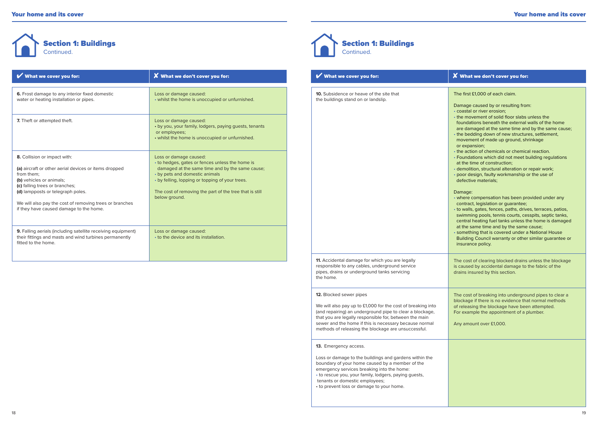

| What we cover you for:                                                                                                                                            | <b>X</b> What we don't cover you for:                                                                                                                                                                             | What we cover you for:                                                          | X What we don't cover you for:                                                                                                                                                                                   |
|-------------------------------------------------------------------------------------------------------------------------------------------------------------------|-------------------------------------------------------------------------------------------------------------------------------------------------------------------------------------------------------------------|---------------------------------------------------------------------------------|------------------------------------------------------------------------------------------------------------------------------------------------------------------------------------------------------------------|
| 6. Frost damage to any interior fixed domestic<br>water or heating installation or pipes.                                                                         | Loss or damage caused:<br>• whilst the home is unoccupied or unfurnished.                                                                                                                                         | 10. Subsidence or heave of the site that<br>the buildings stand on or landslip. | The first £1,000 of each claim.<br>Damage caused by or resulting from<br>• coastal or river erosion:                                                                                                             |
| 7. Theft or attempted theft.                                                                                                                                      | Loss or damage caused:<br>• by you, your family, lodgers, paying guests, tenants<br>or employees;<br>• whilst the home is unoccupied or unfurnished.                                                              |                                                                                 | • the movement of solid floor slabs<br>foundations beneath the external<br>are damaged at the same time an<br>• the bedding down of new structur<br>movement of made up ground, sh<br>or expansion;              |
| 8. Collision or impact with:<br>(a) aircraft or other aerial devices or items dropped<br>from them:<br>(b) vehicles or animals;<br>(c) falling trees or branches; | Loss or damage caused:<br>• to hedges, gates or fences unless the home is<br>damaged at the same time and by the same cause;<br>• by pets and domestic animals<br>• by felling, lopping or topping of your trees. |                                                                                 | • the action of chemicals or chemic<br>• Foundations which did not meet b<br>at the time of construction:<br>· demolition, structural alteration or<br>· poor design, faulty workmanship<br>defective materials: |
| (d) lampposts or telegraph poles.<br>We will also pay the cost of removing trees or branches<br>if they have caused damage to the home.                           | The cost of removing the part of the tree that is still<br>below ground.                                                                                                                                          |                                                                                 | Damage:<br>• where compensation has been pr<br>contract, legislation or guarantee;<br>• to walls, gates, fences, paths, driv<br>swimming pools, tennis courts, ce<br>central heating fuel tanks unless t         |
| 9. Falling aerials (including satellite receiving equipment)<br>their fittings and masts and wind turbines permanently<br>fitted to the home.                     | Loss or damage caused:<br>• to the device and its installation.                                                                                                                                                   |                                                                                 | at the same time and by the same<br>· something that is covered under a<br><b>Building Council warranty or other</b><br>insurance policy.                                                                        |



a s

| What we cover you for:                                                                                                                                                                                                                                                                                                        | X What we don't cover you for:                                                                                                                                                                                                                                                                                                                                                                                                                                                                                                                                                                                                                                                                                                                                                                                                                                                                                                                                                                                                                                                                                                             |
|-------------------------------------------------------------------------------------------------------------------------------------------------------------------------------------------------------------------------------------------------------------------------------------------------------------------------------|--------------------------------------------------------------------------------------------------------------------------------------------------------------------------------------------------------------------------------------------------------------------------------------------------------------------------------------------------------------------------------------------------------------------------------------------------------------------------------------------------------------------------------------------------------------------------------------------------------------------------------------------------------------------------------------------------------------------------------------------------------------------------------------------------------------------------------------------------------------------------------------------------------------------------------------------------------------------------------------------------------------------------------------------------------------------------------------------------------------------------------------------|
| 10. Subsidence or heave of the site that<br>the buildings stand on or landslip.                                                                                                                                                                                                                                               | The first £1,000 of each claim.<br>Damage caused by or resulting from:<br>· coastal or river erosion:<br>• the movement of solid floor slabs unless the<br>foundations beneath the external walls of the home<br>are damaged at the same time and by the same cause;<br>• the bedding down of new structures, settlement,<br>movement of made up ground, shrinkage<br>or expansion;<br>• the action of chemicals or chemical reaction.<br>• Foundations which did not meet building regulations<br>at the time of construction;<br>· demolition, structural alteration or repair work;<br>· poor design, faulty workmanship or the use of<br>defective materials;<br>Damage:<br>• where compensation has been provided under any<br>contract, legislation or guarantee;<br>• to walls, gates, fences, paths, drives, terraces, patios,<br>swimming pools, tennis courts, cesspits, septic tanks,<br>central heating fuel tanks unless the home is damaged<br>at the same time and by the same cause;<br>· something that is covered under a National House<br>Building Council warranty or other similar guarantee or<br>insurance policy. |
| 11. Accidental damage for which you are legally<br>responsible to any cables, underground service<br>pipes, drains or underground tanks servicing<br>the home.                                                                                                                                                                | The cost of clearing blocked drains unless the blockage<br>is caused by accidental damage to the fabric of the<br>drains insured by this section.                                                                                                                                                                                                                                                                                                                                                                                                                                                                                                                                                                                                                                                                                                                                                                                                                                                                                                                                                                                          |
| 12. Blocked sewer pipes<br>We will also pay up to £1,000 for the cost of breaking into<br>(and repairing) an underground pipe to clear a blockage,<br>that you are legally responsible for, between the main<br>sewer and the home if this is necessary because normal<br>methods of releasing the blockage are unsuccessful. | The cost of breaking into underground pipes to clear a<br>blockage if there is no evidence that normal methods<br>of releasing the blockage have been attempted.<br>For example the appointment of a plumber.<br>Any amount over £1,000.                                                                                                                                                                                                                                                                                                                                                                                                                                                                                                                                                                                                                                                                                                                                                                                                                                                                                                   |
| 13. Emergency access.<br>Loss or damage to the buildings and gardens within the<br>boundary of your home caused by a member of the<br>emergency services breaking into the home:<br>• to rescue you, your family, lodgers, paying guests,<br>tenants or domestic employees;<br>• to prevent loss or damage to your home.      |                                                                                                                                                                                                                                                                                                                                                                                                                                                                                                                                                                                                                                                                                                                                                                                                                                                                                                                                                                                                                                                                                                                                            |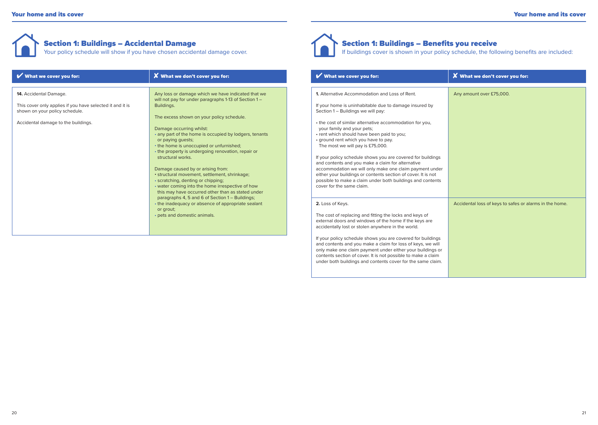# Section 1: Buildings – Accidental Damage

Your policy schedule will show if you have chosen accidental damage cover.

| What we cover you for:                                                                                                                                              | <b>X</b> What we don't cover you for:                                                                                                                                                                                                                                                                                         | What we cover you for:                                                                                                                                                                                                                                                                                                                                                    | X What we don't cover you for:        |
|---------------------------------------------------------------------------------------------------------------------------------------------------------------------|-------------------------------------------------------------------------------------------------------------------------------------------------------------------------------------------------------------------------------------------------------------------------------------------------------------------------------|---------------------------------------------------------------------------------------------------------------------------------------------------------------------------------------------------------------------------------------------------------------------------------------------------------------------------------------------------------------------------|---------------------------------------|
| <b>14.</b> Accidental Damage.<br>This cover only applies if you have selected it and it is<br>shown on your policy schedule.<br>Accidental damage to the buildings. | Any loss or damage which we have indicated that we<br>will not pay for under paragraphs 1-13 of Section 1 -<br>Buildings.<br>The excess shown on your policy schedule.<br>Damage occurring whilst:<br>• any part of the home is occupied by lodgers, tenants<br>or paying guests;<br>• the home is unoccupied or unfurnished; | <b>1.</b> Alternative Accommodation and Loss of Rent.<br>If your home is uninhabitable due to damage insured by<br>Section 1 - Buildings we will pay:<br>• the cost of similar alternative accommodation for you,<br>your family and your pets;<br>• rent which should have been paid to you;<br>• ground rent which you have to pay.<br>The most we will pay is £75,000. | Any amount over £75,000.              |
|                                                                                                                                                                     | • the property is undergoing renovation, repair or<br>structural works.<br>Damage caused by or arising from:<br>· structural movement, settlement, shrinkage;<br>· scratching, denting or chipping;<br>• water coming into the home irrespective of how<br>this may have occurred other than as stated under                  | If your policy schedule shows you are covered for buildings<br>and contents and you make a claim for alternative<br>accommodation we will only make one claim payment under<br>either your buildings or contents section of cover. It is not<br>possible to make a claim under both buildings and contents<br>cover for the same claim.                                   |                                       |
|                                                                                                                                                                     | paragraphs 4, 5 and 6 of Section 1 - Buildings;<br>• the inadequacy or absence of appropriate sealant<br>or grout;<br>• pets and domestic animals.                                                                                                                                                                            | 2. Loss of Keys.<br>The cost of replacing and fitting the locks and keys of<br>external doors and windows of the home if the keys are<br>accidentally lost or stolen anywhere in the world.                                                                                                                                                                               | Accidental loss of keys to safes or a |



# Section 1: Buildings – Benefits you receive

If buildings cover is shown in your policy schedule, the following benefits are included:

| What we cover you for:                                                                                                                                                                                                                                                                                                                  | $\boldsymbol{X}$ What we don't cover you for:           |
|-----------------------------------------------------------------------------------------------------------------------------------------------------------------------------------------------------------------------------------------------------------------------------------------------------------------------------------------|---------------------------------------------------------|
| 1. Alternative Accommodation and Loss of Rent.                                                                                                                                                                                                                                                                                          | Any amount over £75,000.                                |
| If your home is uninhabitable due to damage insured by<br>Section 1 - Buildings we will pay:                                                                                                                                                                                                                                            |                                                         |
| • the cost of similar alternative accommodation for you,<br>your family and your pets;<br>• rent which should have been paid to you;<br>• ground rent which you have to pay.<br>The most we will pay is £75,000.                                                                                                                        |                                                         |
| If your policy schedule shows you are covered for buildings<br>and contents and you make a claim for alternative<br>accommodation we will only make one claim payment under<br>either your buildings or contents section of cover. It is not<br>possible to make a claim under both buildings and contents<br>cover for the same claim. |                                                         |
| 2. Loss of Keys.                                                                                                                                                                                                                                                                                                                        | Accidental loss of keys to safes or alarms in the home. |
| The cost of replacing and fitting the locks and keys of<br>external doors and windows of the home if the keys are<br>accidentally lost or stolen anywhere in the world.                                                                                                                                                                 |                                                         |
| If your policy schedule shows you are covered for buildings<br>and contents and you make a claim for loss of keys, we will<br>only make one claim payment under either your buildings or<br>contents section of cover. It is not possible to make a claim<br>under both buildings and contents cover for the same claim.                |                                                         |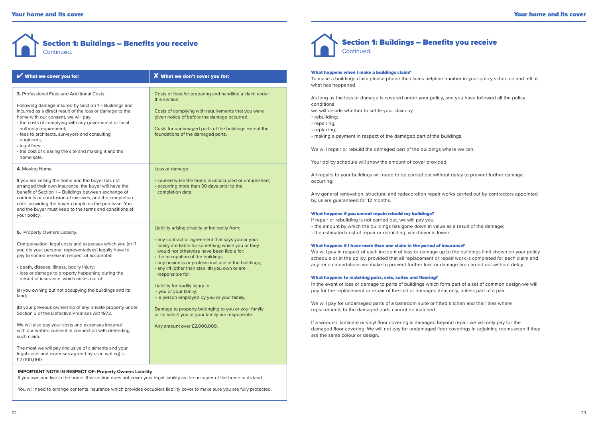# Section 1: Buildings – Benefits you receive Continued.

| What we cover you for:                                                                                                                                                                                                                                                                                                                                                                                                                                                                                                                                                                                                                                                                                                                                                                           | $\boldsymbol{X}$ What we don't cover you for:                                                                                                                                                                                                                                                                                                                                                                                                                                                                                                                                                                                  |
|--------------------------------------------------------------------------------------------------------------------------------------------------------------------------------------------------------------------------------------------------------------------------------------------------------------------------------------------------------------------------------------------------------------------------------------------------------------------------------------------------------------------------------------------------------------------------------------------------------------------------------------------------------------------------------------------------------------------------------------------------------------------------------------------------|--------------------------------------------------------------------------------------------------------------------------------------------------------------------------------------------------------------------------------------------------------------------------------------------------------------------------------------------------------------------------------------------------------------------------------------------------------------------------------------------------------------------------------------------------------------------------------------------------------------------------------|
| 3. Professional Fees and Additional Costs.<br>Following damage insured by Section 1 - Buildings and<br>incurred as a direct result of the loss or damage to the<br>home with our consent, we will pay:<br>• the costs of complying with any government or local<br>authority requirement;<br>· fees to architects, surveyors and consulting<br>engineers;<br>· legal fees;<br>• the cost of clearing the site and making it and the<br>home safe.                                                                                                                                                                                                                                                                                                                                                | Costs or fees for preparing and handling a claim under<br>this section.<br>Costs of complying with requirements that you were<br>given notice of before the damage occurred.<br>Costs for undamaged parts of the buildings except the<br>foundations of the damaged parts.                                                                                                                                                                                                                                                                                                                                                     |
| 4. Moving Home.<br>If you are selling the home and the buyer has not<br>arranged their own insurance, the buyer will have the<br>benefit of Section 1 - Buildings between exchange of<br>contracts or conclusion of missives, and the completion<br>date, providing the buyer completes the purchase. You<br>and the buyer must keep to the terms and conditions of<br>your policy.                                                                                                                                                                                                                                                                                                                                                                                                              | Loss or damage:<br>· caused while the home is unoccupied or unfurnished;<br>• occurring more than 30 days prior to the<br>completion date.                                                                                                                                                                                                                                                                                                                                                                                                                                                                                     |
| 5. Property Owners Liability.<br>Compensation, legal costs and expenses which you (or if<br>you die your personal representatives) legally have to<br>pay to someone else in respect of accidental:<br>· death, disease, illness, bodily injury;<br>· loss or damage to property happening during the<br>period of insurance, which arises out of:<br>(a) you owning but not occupying the buildings and its<br>land;<br>(b) your previous ownership of any private property under<br>Section 3 of the Defective Premises Act 1972.<br>We will also pay your costs and expenses incurred<br>with our written consent in connection with defending<br>such claim.<br>The most we will pay (inclusive of claimants and your<br>legal costs and expenses agreed by us in writing) is<br>£2,000,000. | Liability arising directly or indirectly from:<br>• any contract or agreement that says you or your<br>family are liable for something which you or they<br>would not otherwise have been liable for;<br>• the occupation of the buildings;<br>• any business or professional use of the buildings;<br>· any lift (other than stair lift) you own or are<br>responsible for.<br>Liability for bodily injury to<br>- you or your family;<br>- a person employed by you or your family.<br>Damage to property belonging to you or your family<br>or for which you or your family are responsible.<br>Any amount over £2,000,000. |

# **IMPORTANT NOTE IN RESPECT OF: Property Owners Liability**

If you own and live in the home, this section does not cover your legal liability as the occupier of the home or its land.

You will need to arrange contents insurance which provides occupiers liability cover to make sure you are fully protected.



#### What happens when I make a buildings claim?

To make a buildings claim please phone the claims helpline number in your policy schedule and tell us what has happened.

As long as the loss or damage is covered under your policy, and you have followed all the policy conditions

we will decide whether to settle your claim by:

- rebuilding;
- repairing;

• replacing;

• making a payment in respect of the damaged part of the buildings.

We will repair or rebuild the damaged part of the buildings where we can.

Your policy schedule will show the amount of cover provided.

All repairs to your buildings will need to be carried out without delay to prevent further damage occurring.

Any general renovation, structural and redecoration repair works carried out by contractors appointed by us are guaranteed for 12 months.

#### What happens if you cannot repair/rebuild my buildings?

If repair or rebuilding is not carried out, we will pay you: • the amount by which the buildings has gone down in value as a result of the damage; • the estimated cost of repair or rebuilding, whichever is lower.

#### What happens if I have more than one claim in the period of insurance?

We will pay in respect of each incident of loss or damage up to the buildings limit shown on your policy schedule or in the policy, provided that all replacement or repair work is completed for each claim and any recommendations we make to prevent further loss or damage are carried out without delay.

#### What happens to matching pairs, sets, suites and flooring?

In the event of loss or damage to parts of buildings which form part of a set of common design we will pay for the replacement or repair of the lost or damaged item only, unless part of a pair.

We will pay for undamaged parts of a bathroom suite or fitted kitchen and their tiles where replacements to the damaged parts cannot be matched.

If a wooden, laminate or vinyl floor covering is damaged beyond repair we will only pay for the damaged floor covering. We will not pay for undamaged floor coverings in adjoining rooms even if they are the same colour or design.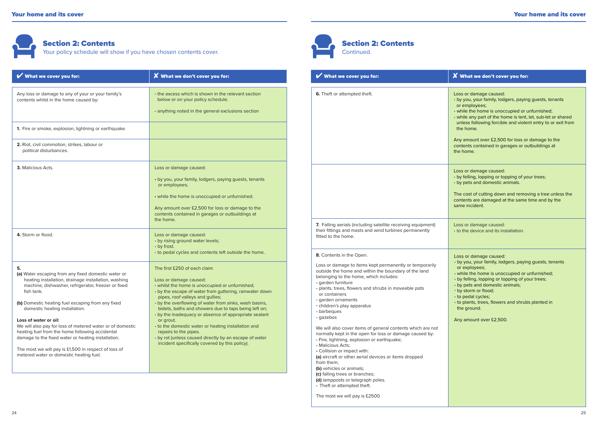# Section 2: Contents Your policy schedule will show if you have chosen contents cover.

| What we cover you for:                                                                                                                                                                                                                                                                                                                                                                                                                                                                                                                                                          | <b>X</b> What we don't cover you for:                                                                                                                                                                                                                                                                                                                                                                                                                                                                                                                                                                                                                 | What we cover you for:                                                                                                                                                                                                                                                                                                                                                                                                                                                                                                                                                                                                                                                                                | $\boldsymbol{X}$ What we don't cover you for                                                                                                                                                                                                                                                                                        |
|---------------------------------------------------------------------------------------------------------------------------------------------------------------------------------------------------------------------------------------------------------------------------------------------------------------------------------------------------------------------------------------------------------------------------------------------------------------------------------------------------------------------------------------------------------------------------------|-------------------------------------------------------------------------------------------------------------------------------------------------------------------------------------------------------------------------------------------------------------------------------------------------------------------------------------------------------------------------------------------------------------------------------------------------------------------------------------------------------------------------------------------------------------------------------------------------------------------------------------------------------|-------------------------------------------------------------------------------------------------------------------------------------------------------------------------------------------------------------------------------------------------------------------------------------------------------------------------------------------------------------------------------------------------------------------------------------------------------------------------------------------------------------------------------------------------------------------------------------------------------------------------------------------------------------------------------------------------------|-------------------------------------------------------------------------------------------------------------------------------------------------------------------------------------------------------------------------------------------------------------------------------------------------------------------------------------|
| Any loss or damage to any of your or your family's<br>contents whilst in the home caused by:                                                                                                                                                                                                                                                                                                                                                                                                                                                                                    | • the excess which is shown in the relevant section<br>below or on your policy schedule.<br>• anything noted in the general exclusions section                                                                                                                                                                                                                                                                                                                                                                                                                                                                                                        | 6. Theft or attempted theft.                                                                                                                                                                                                                                                                                                                                                                                                                                                                                                                                                                                                                                                                          | Loss or damage caused:<br>• by you, your family, lodgers, payin<br>or employees;<br>. while the home is unoccupied or a<br>• while any part of the home is lent,<br>unless following forcible and viole                                                                                                                             |
| 1. Fire or smoke, explosion, lightning or earthquake.                                                                                                                                                                                                                                                                                                                                                                                                                                                                                                                           |                                                                                                                                                                                                                                                                                                                                                                                                                                                                                                                                                                                                                                                       |                                                                                                                                                                                                                                                                                                                                                                                                                                                                                                                                                                                                                                                                                                       | the home.                                                                                                                                                                                                                                                                                                                           |
| 2. Riot, civil commotion, strikes, labour or<br>political disturbances.                                                                                                                                                                                                                                                                                                                                                                                                                                                                                                         |                                                                                                                                                                                                                                                                                                                                                                                                                                                                                                                                                                                                                                                       |                                                                                                                                                                                                                                                                                                                                                                                                                                                                                                                                                                                                                                                                                                       | Any amount over £2,500 for loss or<br>contents contained in garages or o<br>the home.                                                                                                                                                                                                                                               |
| <b>3.</b> Malicious Acts.                                                                                                                                                                                                                                                                                                                                                                                                                                                                                                                                                       | Loss or damage caused:<br>• by you, your family, lodgers, paying guests, tenants<br>or employees;<br>• while the home is unoccupied or unfurnished.<br>Any amount over £2,500 for loss or damage to the<br>contents contained in garages or outbuildings at<br>the home.                                                                                                                                                                                                                                                                                                                                                                              |                                                                                                                                                                                                                                                                                                                                                                                                                                                                                                                                                                                                                                                                                                       | Loss or damage caused:<br>• by felling, lopping or topping of yo<br>• by pets and domestic animals.<br>The cost of cutting down and remo<br>contents are damaged at the same<br>same incident.                                                                                                                                      |
| 4. Storm or flood.                                                                                                                                                                                                                                                                                                                                                                                                                                                                                                                                                              | Loss or damage caused:<br>• by rising ground water levels;<br>• by frost.                                                                                                                                                                                                                                                                                                                                                                                                                                                                                                                                                                             | 7. Falling aerials (including satellite receiving equipment)<br>their fittings and masts and wind turbines permanently<br>fitted to the home.                                                                                                                                                                                                                                                                                                                                                                                                                                                                                                                                                         | Loss or damage caused:<br>• to the device and its installation.                                                                                                                                                                                                                                                                     |
| 5.<br>(a) Water escaping from any fixed domestic water or<br>heating installation, drainage installation, washing<br>machine, dishwasher, refrigerator, freezer or fixed<br>fish tank.<br>(b) Domestic heating fuel escaping from any fixed<br>domestic heating installation.<br>Loss of water or oil:<br>We will also pay for loss of metered water or of domestic<br>heating fuel from the home following accidental<br>damage to the fixed water or heating installation.<br>The most we will pay is £1,500 in respect of loss of<br>metered water or domestic heating fuel. | • to pedal cycles and contents left outside the home.<br>The first £250 of each claim<br>Loss or damage caused:<br>• whilst the home is unoccupied or unfurnished;<br>• by the escape of water from guttering, rainwater down<br>pipes, roof valleys and gullies;<br>• by the overflowing of water from sinks, wash basins,<br>bidets, baths and showers due to taps being left on;<br>• by the inadequacy or absence of appropriate sealant<br>or grout.<br>• to the domestic water or heating installation and<br>repairs to the pipes.<br>• by rot (unless caused directly by an escape of water<br>incident specifically covered by this policy). | 8. Contents in the Open.<br>Loss or damage to items kept permanently or temporarily<br>outside the home and within the boundary of the land<br>belonging to the home, which includes:<br>· garden furniture<br>· plants, trees, flowers and shrubs in moveable pots<br>or containers<br>· garden ornaments<br>· children's play apparatus<br>• barbeques<br>· gazebos<br>We will also cover items of general contents which are not<br>normally kept in the open for loss or damage caused by:<br>· Fire, lightning, explosion or earthquake;<br>• Malicious Acts;<br>• Collision or impact with:<br>(a) aircraft or other aerial devices or items dropped<br>from them;<br>llet unhidian av animalar | Loss or damage caused:<br>· by you, your family, lodgers, payir<br>or exployees;<br>• while the home is unoccupied or<br>• by felling, lopping or topping of yo<br>• by pets and domestic animals;<br>• by storm or flood;<br>• to pedal cycles;<br>• to plants, trees, flowers and shrub<br>the ground.<br>Any amount over £2,500. |



Section 2: Contents Continued.

| What we cover you for:                                                                                                                                                                                                                                                                                                                                                                                                            | $\boldsymbol{X}$ What we don't cover you for:                                                                                                                                                                                                                                                                                                                                                                        |
|-----------------------------------------------------------------------------------------------------------------------------------------------------------------------------------------------------------------------------------------------------------------------------------------------------------------------------------------------------------------------------------------------------------------------------------|----------------------------------------------------------------------------------------------------------------------------------------------------------------------------------------------------------------------------------------------------------------------------------------------------------------------------------------------------------------------------------------------------------------------|
| 6. Theft or attempted theft.                                                                                                                                                                                                                                                                                                                                                                                                      | Loss or damage caused:<br>· by you, your family, lodgers, paying guests, tenants<br>or employees;<br>• while the home is unoccupied or unfurnished;<br>• while any part of the home is lent, let, sub-let or shared<br>unless following forcible and violent entry to or exit from<br>the home.<br>Any amount over £2,500 for loss or damage to the<br>contents contained in garages or outbuildings at<br>the home. |
|                                                                                                                                                                                                                                                                                                                                                                                                                                   | Loss or damage caused:<br>• by felling, lopping or topping of your trees;<br>• by pets and domestic animals.<br>The cost of cutting down and removing a tree unless the<br>contents are damaged at the same time and by the<br>same incident.                                                                                                                                                                        |
| 7. Falling aerials (including satellite receiving equipment)<br>their fittings and masts and wind turbines permanently<br>fitted to the home.                                                                                                                                                                                                                                                                                     | Loss or damage caused:<br>• to the device and its installation.                                                                                                                                                                                                                                                                                                                                                      |
| 8. Contents in the Open.<br>Loss or damage to items kept permanently or temporarily<br>outside the home and within the boundary of the land<br>belonging to the home, which includes:<br>· garden furniture<br>· plants, trees, flowers and shrubs in moveable pots<br>or containers<br>· garden ornaments<br>• children's play apparatus<br>• barbeques<br>· gazebos                                                             | Loss or damage caused:<br>· by you, your family, lodgers, paying guests, tenants<br>or exployees;<br>• while the home is unoccupied or unfurnished;<br>• by felling, lopping or topping of your trees;<br>• by pets and domestic animals;<br>• by storm or flood;<br>• to pedal cycles;<br>• to plants, trees, flowers and shrubs planted in<br>the ground.<br>Any amount over £2,500.                               |
| We will also cover items of general contents which are not<br>normally kept in the open for loss or damage caused by:<br>· Fire, lightning, explosion or earthquake;<br>• Malicious Acts:<br>• Collision or impact with:<br>(a) aircraft or other aerial devices or items dropped<br>from them;<br>(b) vehicles or animals;<br>(c) falling trees or branches;<br>(d) lampposts or telegraph poles.<br>• Theft or attempted theft. |                                                                                                                                                                                                                                                                                                                                                                                                                      |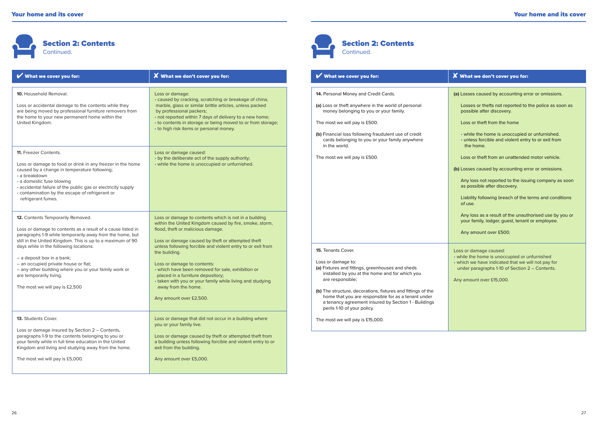

| What we cover you for:                                                                                                                                                                                                                                                                                                                                                                                                                                                                                                                     | $\boldsymbol{X}$ What we don't cover you for:                                                                                                                                                                                                                                                                                                                                                                                                                                                                                      | What we cover you for:                                                                                                                                                                                                                                                                                                                                                                  | X What we don't cover you for                                                                                                                                                                                                                                                                                                                                                                                        |
|--------------------------------------------------------------------------------------------------------------------------------------------------------------------------------------------------------------------------------------------------------------------------------------------------------------------------------------------------------------------------------------------------------------------------------------------------------------------------------------------------------------------------------------------|------------------------------------------------------------------------------------------------------------------------------------------------------------------------------------------------------------------------------------------------------------------------------------------------------------------------------------------------------------------------------------------------------------------------------------------------------------------------------------------------------------------------------------|-----------------------------------------------------------------------------------------------------------------------------------------------------------------------------------------------------------------------------------------------------------------------------------------------------------------------------------------------------------------------------------------|----------------------------------------------------------------------------------------------------------------------------------------------------------------------------------------------------------------------------------------------------------------------------------------------------------------------------------------------------------------------------------------------------------------------|
| 10. Household Removal.<br>Loss or accidental damage to the contents while they<br>are being moved by professional furniture removers from<br>the home to your new permanent home within the<br>United Kingdom.<br>11. Freezer Contents.<br>Loss or damage to food or drink in any freezer in the home<br>caused by a change in temperature following;<br>• a breakdown<br>• a domestic fuse blowing<br>· accidental failure of the public gas or electricity supply<br>contamination by the escape of refrigerant or<br>refrigerant fumes. | Loss or damage:<br>• caused by cracking, scratching or breakage of china,<br>marble, glass or similar brittle articles, unless packed<br>by professional packers;<br>• not reported within 7 days of delivery to a new home;<br>• to contents in storage or being moved to or from storage;<br>• to high risk items or personal money.<br>Loss or damage caused:<br>• by the deliberate act of the supply authority;<br>• while the home is unoccupied or unfurnished.                                                             | 14. Personal Money and Credit Cards.<br>(a) Loss or theft anywhere in the world of personal<br>money belonging to you or your family.<br>The most we will pay is £500.<br>(b) Financial loss following fraudulent use of credit<br>cards belonging to you or your family anywhere<br>in the world.<br>The most we will pay is £500.                                                     | (a) Losses caused by accounting er<br>Losses or thefts not reported to<br>possible after discovery.<br>Loss or theft from the home<br>• while the home is unoccupied<br>· unless forcible and violent ent<br>the home.<br>Loss or theft from an unattende<br>(b) Losses caused by accounting er<br>Any loss not reported to the issu<br>as possible after discovery.<br>Liability following breach of the<br>of use. |
| 12. Contents Temporarily Removed.<br>Loss or damage to contents as a result of a cause listed in<br>paragraphs 1-9 while temporarily away from the home, but<br>still in the United Kingdom. This is up to a maximum of 90<br>days while in the following locations:<br>- a deposit box in a bank;<br>- an occupied private house or flat;<br>- any other building where you or your family work or<br>are temporarily living.<br>The most we will pay is £2,500                                                                           | Loss or damage to contents which is not in a building<br>within the United Kingdom caused by fire, smoke, storm,<br>flood, theft or malicious damage.<br>Loss or damage caused by theft or attempted theft<br>unless following forcible and violent entry to or exit from<br>the building.<br>Loss or damage to contents:<br>• which have been removed for sale, exhibition or<br>placed in a furniture depository;<br>• taken with you or your family while living and studying<br>away from the home.<br>Any amount over £2,500. | <b>15.</b> Tenants Cover.<br>Loss or damage to:<br>(a) Fixtures and fittings, greenhouses and sheds<br>installed by you at the home and for which you<br>are responsible;<br>(b) The structure, decorations, fixtures and fittings of the<br>home that you are responsible for as a tenant under<br>a tenancy agreement insured by Section 1 - Buildings<br>perils 1-10 of your policy. | Any loss as a result of the unaut<br>your family, lodger, guest, tenan<br>Any amount over £500.<br>Loss or damage caused:<br>• while the home is unoccupied or a<br>• which we have indicated that we<br>under paragraphs 1-10 of Section<br>Any amount over £15,000.                                                                                                                                                |
| 13. Students Cover.<br>Loss or damage insured by Section 2 - Contents,<br>paragraphs 1-9 to the contents belonging to you or<br>your family while in full time education in the United<br>Kingdom and living and studying away from the home.<br>The most we will pay is £5,000.                                                                                                                                                                                                                                                           | Loss or damage that did not occur in a building where<br>you or your family live.<br>Loss or damage caused by theft or attempted theft from<br>a building unless following forcible and violent entry to or<br>exit from the building.<br>Any amount over £5,000.                                                                                                                                                                                                                                                                  | The most we will pay is £15,000.                                                                                                                                                                                                                                                                                                                                                        |                                                                                                                                                                                                                                                                                                                                                                                                                      |



Section 2: Contents Continued.

| What we cover you for:                                                                                                                                                                                     | $\boldsymbol{X}$ What we don't cover you for:                                                                                                                                                               |
|------------------------------------------------------------------------------------------------------------------------------------------------------------------------------------------------------------|-------------------------------------------------------------------------------------------------------------------------------------------------------------------------------------------------------------|
| 14. Personal Money and Credit Cards.                                                                                                                                                                       | (a) Losses caused by accounting error or omissions.                                                                                                                                                         |
| (a) Loss or theft anywhere in the world of personal<br>money belonging to you or your family.                                                                                                              | Losses or thefts not reported to the police as soon as<br>possible after discovery.                                                                                                                         |
| The most we will pay is £500.                                                                                                                                                                              | Loss or theft from the home                                                                                                                                                                                 |
| (b) Financial loss following fraudulent use of credit<br>cards belonging to you or your family anywhere<br>in the world.                                                                                   | • while the home is unoccupied or unfurnished.<br>· unless forcible and violent entry to or exit from<br>the home.                                                                                          |
| The most we will pay is £500.                                                                                                                                                                              | Loss or theft from an unattended motor vehicle.                                                                                                                                                             |
|                                                                                                                                                                                                            | (b) Losses caused by accounting error or omissions.                                                                                                                                                         |
|                                                                                                                                                                                                            | Any loss not reported to the issuing company as soon<br>as possible after discovery.                                                                                                                        |
|                                                                                                                                                                                                            | Liability following breach of the terms and conditions<br>of use.                                                                                                                                           |
|                                                                                                                                                                                                            | Any loss as a result of the unauthorised use by you or<br>your family, lodger, guest, tenant or employee.                                                                                                   |
|                                                                                                                                                                                                            | Any amount over £500.                                                                                                                                                                                       |
| 15. Tenants Cover.<br>Loss or damage to:<br>(a) Fixtures and fittings, greenhouses and sheds<br>installed by you at the home and for which you<br>are responsible;                                         | Loss or damage caused:<br>• while the home is unoccupied or unfurnished<br>• which we have indicated that we will not pay for<br>under paragraphs 1-10 of Section 2 - Contents.<br>Any amount over £15,000. |
| (b) The structure, decorations, fixtures and fittings of the<br>home that you are responsible for as a tenant under<br>a tenancy agreement insured by Section 1 - Buildings<br>perils 1-10 of your policy. |                                                                                                                                                                                                             |
| The most we will pay is £15,000.                                                                                                                                                                           |                                                                                                                                                                                                             |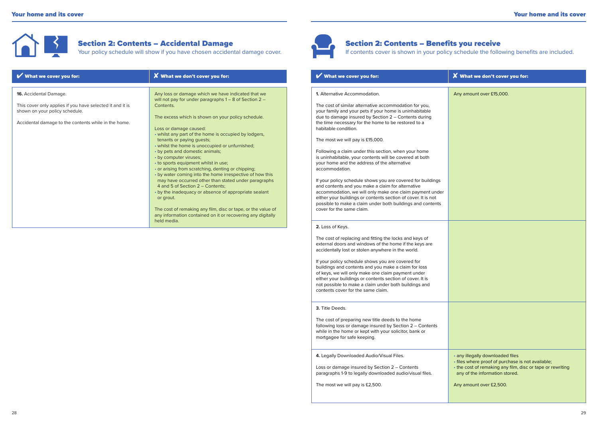

| What we cover you for:                                    | $\boldsymbol{X}$ What we don't cover you for:                                      | What we cover you for:                                                                  | X What we don't cover you for |
|-----------------------------------------------------------|------------------------------------------------------------------------------------|-----------------------------------------------------------------------------------------|-------------------------------|
| 16. Accidental Damage.                                    | Any loss or damage which we have indicated that we                                 | 1. Alternative Accommodation.                                                           | Any amount over £15,000.      |
|                                                           | will not pay for under paragraphs $1 - 8$ of Section $2 - 8$                       |                                                                                         |                               |
| This cover only applies if you have selected it and it is | Contents.                                                                          | The cost of similar alternative accommodation for you,                                  |                               |
| shown on your policy schedule.                            |                                                                                    | your family and your pets if your home is uninhabitable                                 |                               |
|                                                           | The excess which is shown on your policy schedule.                                 | due to damage insured by Section 2 - Contents during                                    |                               |
| Accidental damage to the contents while in the home.      |                                                                                    | the time necessary for the home to be restored to a                                     |                               |
|                                                           | Loss or damage caused:                                                             | habitable condition.                                                                    |                               |
|                                                           | • whilst any part of the home is occupied by lodgers,                              |                                                                                         |                               |
|                                                           | tenants or paying guests;                                                          | The most we will pay is £15,000.                                                        |                               |
|                                                           | • whilst the home is unoccupied or unfurnished;<br>• by pets and domestic animals; | Following a claim under this section, when your home                                    |                               |
|                                                           | • by computer viruses;                                                             | is uninhabitable, your contents will be covered at both                                 |                               |
|                                                           | • to sports equipment whilst in use;                                               | your home and the address of the alternative                                            |                               |
|                                                           | • or arising from scratching, denting or chipping;                                 | accommodation.                                                                          |                               |
|                                                           | • by water coming into the home irrespective of how this                           |                                                                                         |                               |
|                                                           | may have occurred other than stated under paragraphs                               | If your policy schedule shows you are covered for buildings                             |                               |
|                                                           | 4 and 5 of Section 2 - Contents:                                                   | and contents and you make a claim for alternative                                       |                               |
|                                                           | • by the inadequacy or absence of appropriate sealant                              | accommodation, we will only make one claim payment under                                |                               |
|                                                           | or grout.                                                                          | either your buildings or contents section of cover. It is not                           |                               |
|                                                           | The cost of remaking any film, disc or tape, or the value of                       | possible to make a claim under both buildings and contents<br>cover for the same claim. |                               |
|                                                           | any information contained on it or recovering any digitally                        |                                                                                         |                               |
|                                                           | held media.                                                                        |                                                                                         |                               |
|                                                           |                                                                                    | $2 \text{ log of }$                                                                     |                               |



# Section 2: Contents – Benefits you receive

If contents cover is shown in your policy schedule the following benefits are included.

| What we cover you for:                                                                                                                                                                                                                                                                                                                                                                                                                                                                                                                                                                                                                                                                                                                                                                                                                                         | <b>X</b> What we don't cover you for:                                                                                                                                                                            |
|----------------------------------------------------------------------------------------------------------------------------------------------------------------------------------------------------------------------------------------------------------------------------------------------------------------------------------------------------------------------------------------------------------------------------------------------------------------------------------------------------------------------------------------------------------------------------------------------------------------------------------------------------------------------------------------------------------------------------------------------------------------------------------------------------------------------------------------------------------------|------------------------------------------------------------------------------------------------------------------------------------------------------------------------------------------------------------------|
| 1. Alternative Accommodation.<br>The cost of similar alternative accommodation for you,<br>your family and your pets if your home is uninhabitable<br>due to damage insured by Section 2 - Contents during<br>the time necessary for the home to be restored to a<br>habitable condition.<br>The most we will pay is £15,000.<br>Following a claim under this section, when your home<br>is uninhabitable, your contents will be covered at both<br>vour home and the address of the alternative<br>accommodation.<br>If your policy schedule shows you are covered for buildings<br>and contents and you make a claim for alternative<br>accommodation, we will only make one claim payment under<br>either your buildings or contents section of cover. It is not<br>possible to make a claim under both buildings and contents<br>cover for the same claim. | Any amount over £15,000.                                                                                                                                                                                         |
| 2. Loss of Keys.<br>The cost of replacing and fitting the locks and keys of<br>external doors and windows of the home if the keys are<br>accidentally lost or stolen anywhere in the world.<br>If your policy schedule shows you are covered for<br>buildings and contents and you make a claim for loss<br>of keys, we will only make one claim payment under<br>either your buildings or contents section of cover. It is<br>not possible to make a claim under both buildings and<br>contents cover for the same claim.                                                                                                                                                                                                                                                                                                                                     |                                                                                                                                                                                                                  |
| 3. Title Deeds.<br>The cost of preparing new title deeds to the home<br>following loss or damage insured by Section 2 - Contents<br>while in the home or kept with your solicitor, bank or<br>mortgagee for safe keeping.                                                                                                                                                                                                                                                                                                                                                                                                                                                                                                                                                                                                                                      |                                                                                                                                                                                                                  |
| 4. Legally Downloaded Audio/Visual Files.<br>Loss or damage insured by Section 2 - Contents<br>paragraphs 1-9 to legally downloaded audio/visual files.<br>The most we will pay is £2,500.                                                                                                                                                                                                                                                                                                                                                                                                                                                                                                                                                                                                                                                                     | · any illegally downloaded files<br>· files where proof of purchase is not available;<br>• the cost of remaking any film, disc or tape or rewriting<br>any of the information stored.<br>Any amount over £2,500. |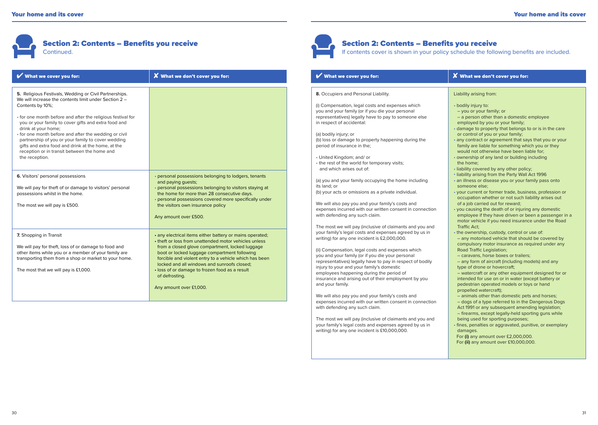

| What we cover you for:                                                                                                                                                                                                                                                                                                                                                                                                                                                                                                   | $\boldsymbol{X}$ What we don't cover you for:                                                                                                                                                                                                                                                                                                                                                                                | What we cover you for:                                                                                                                                                                                                                                                                                                                                                                                                                                                                                                                                            |
|--------------------------------------------------------------------------------------------------------------------------------------------------------------------------------------------------------------------------------------------------------------------------------------------------------------------------------------------------------------------------------------------------------------------------------------------------------------------------------------------------------------------------|------------------------------------------------------------------------------------------------------------------------------------------------------------------------------------------------------------------------------------------------------------------------------------------------------------------------------------------------------------------------------------------------------------------------------|-------------------------------------------------------------------------------------------------------------------------------------------------------------------------------------------------------------------------------------------------------------------------------------------------------------------------------------------------------------------------------------------------------------------------------------------------------------------------------------------------------------------------------------------------------------------|
| 5. Religious Festivals, Wedding or Civil Partnerships.<br>We will increase the contents limit under Section 2 -<br>Contents by 10%;<br>• for one month before and after the religious festival for<br>you or your family to cover gifts and extra food and<br>drink at your home;<br>• for one month before and after the wedding or civil<br>partnership of you or your family to cover wedding<br>gifts and extra food and drink at the home, at the<br>reception or in transit between the home and<br>the reception. |                                                                                                                                                                                                                                                                                                                                                                                                                              | 8. Occupiers and Personal Liability.<br>(i) Compensation, legal costs and expenses which<br>you and your family (or if you die your personal<br>representatives) legally have to pay to someone else<br>in respect of accidental:<br>(a) bodily injury; or<br>(b) loss or damage to property happening during the<br>period of insurance in the;<br>• United Kingdom; and/ or<br>• the rest of the world for temporary visits;<br>and which arises out of:                                                                                                        |
| 6. Visitors' personal possessions<br>We will pay for theft of or damage to visitors' personal<br>possessions whilst in the home.<br>The most we will pay is £500.                                                                                                                                                                                                                                                                                                                                                        | · personal possessions belonging to lodgers, tenants<br>and paying guests;<br>· personal possessions belonging to visitors staying at<br>the home for more than 28 consecutive days.<br>· personal possessions covered more specifically under<br>the visitors own insurance policy<br>Any amount over £500.                                                                                                                 | (a) you and your family occupying the home including<br>its land: or<br>(b) your acts or omissions as a private individual.<br>We will also pay you and your family's costs and<br>expenses incurred with our written consent in connection<br>with defending any such claim.                                                                                                                                                                                                                                                                                     |
| 7. Shopping in Transit<br>We will pay for theft, loss of or damage to food and<br>other items while you or a member of your family are<br>transporting them from a shop or market to your home.<br>The most that we will pay is £1,000.                                                                                                                                                                                                                                                                                  | • any electrical items either battery or mains operated;<br>• theft or loss from unattended motor vehicles unless<br>from a closed glove compartment, locked luggage<br>boot or locked luggage compartment following<br>forcible and violent entry to a vehicle which has been<br>locked and all windows and sunroofs closed:<br>· loss of or damage to frozen food as a result<br>of defrosting.<br>Any amount over £1,000. | The most we will pay (inclusive of claimants and you and<br>your family's legal costs and expenses agreed by us in<br>writing) for any one incident is £2,000,000.<br>(ii) Compensation, legal costs and expenses which<br>you and your family (or if you die your personal<br>representatives) legally have to pay in respect of bodily<br>injury to your and your family's domestic<br>employees happening during the period of<br>insurance and arising out of their employment by you<br>and your family.<br>We will also pay you and your family's costs and |
|                                                                                                                                                                                                                                                                                                                                                                                                                                                                                                                          |                                                                                                                                                                                                                                                                                                                                                                                                                              | expenses incurred with our written consent in connection<br>with defending any such claim.                                                                                                                                                                                                                                                                                                                                                                                                                                                                        |

The most we will pay (inclusive of claimants and you and your family's legal costs and expenses agreed by us in writing) for any one incident is £10,000,000.

# Liability arising from:

 $\boldsymbol{X}$  What we don't cover you for:

• bodily injury to:

If contents cover is shown in your policy schedule the following benefits are included.

Section 2: Contents – Benefits you receive

- you or your family; or
- a person other than a domestic employee
- employed by you or your family;
- damage to property that belongs to or is in the care or control of you or your family;
- any contract or agreement that says that you or your family are liable for something which you or they would not otherwise have been liable for;
- ownership of any land or building including the home;
- liability covered by any other policy;
- liability arising from the Party Wall Act 1996
- an illness or disease you or your family pass onto someone else;
- your current or former trade, business, profession or occupation whether or not such liability arises out of a job carried out for reward;
- you causing the death of or injuring any domestic employee if they have driven or been a passenger in a motor vehicle if you need insurance under the Road Traffic Act;
- the ownership, custody, control or use of: – any motorised vehicle that should be covered by compulsory motor insurance as required under any Road Traffic Legislation;
- caravans, horse boxes or trailers;
- any form of aircraft (including models) and any type of drone or hovercraft;
- watercraft or any other equipment designed for or intended for use on or in water (except battery or pedestrian operated models or toys or hand propelled watercraft);
- animals other than domestic pets and horses; – dogs of a type referred to in the Dangerous Dogs Act 1991 or any subsequent amending legislation;
- firearms, except legally-held sporting guns while being used for sporting purposes;
- fines, penalties or aggravated, punitive, or exemplary damages.
- For **(i)** any amount over £2,000,000. For **(ii)** any amount over £10,000,000.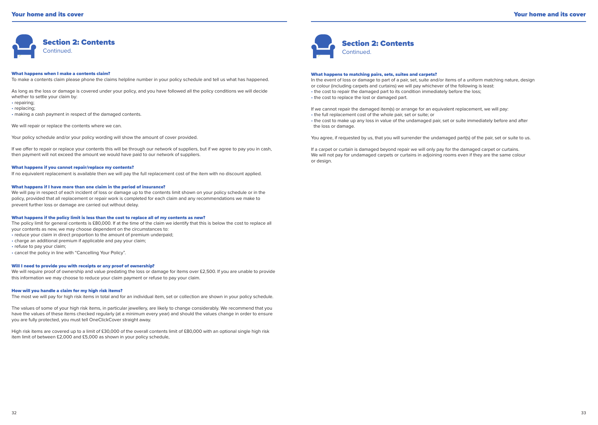

#### What happens when I make a contents claim?

To make a contents claim please phone the claims helpline number in your policy schedule and tell us what has happened.

As long as the loss or damage is covered under your policy, and you have followed all the policy conditions we will decide whether to settle your claim by: • repairing; • replacing;

• making a cash payment in respect of the damaged contents.

We will repair or replace the contents where we can.

Your policy schedule and/or your policy wording will show the amount of cover provided.

If we offer to repair or replace your contents this will be through our network of suppliers, but if we agree to pay you in cash, then payment will not exceed the amount we would have paid to our network of suppliers.

#### What happens if you cannot repair/replace my contents?

If no equivalent replacement is available then we will pay the full replacement cost of the item with no discount applied.

#### What happens if I have more than one claim in the period of insurance?

We will pay in respect of each incident of loss or damage up to the contents limit shown on your policy schedule or in the policy, provided that all replacement or repair work is completed for each claim and any recommendations we make to prevent further loss or damage are carried out without delay.

#### What happens if the policy limit is less than the cost to replace all of my contents as new?

The policy limit for general contents is £80,000. If at the time of the claim we identify that this is below the cost to replace all your contents as new, we may choose dependent on the circumstances to: • reduce your claim in direct proportion to the amount of premium underpaid; • charge an additional premium if applicable and pay your claim; • refuse to pay your claim; • cancel the policy in line with "Cancelling Your Policy".

#### Will I need to provide you with receipts or any proof of ownership?

We will require proof of ownership and value predating the loss or damage for items over £2,500. If you are unable to provide this information we may choose to reduce your claim payment or refuse to pay your claim.

#### How will you handle a claim for my high risk items?

The most we will pay for high risk items in total and for an individual item, set or collection are shown in your policy schedule.

The values of some of your high risk items, in particular jewellery, are likely to change considerably. We recommend that you have the values of these items checked regularly (at a minimum every year) and should the values change in order to ensure you are fully protected, you must tell OneClickCover straight away.

High risk items are covered up to a limit of £30,000 of the overall contents limit of £80,000 with an optional single high risk item limit of between £2,000 and £5,000 as shown in your policy schedule,



#### What happens to matching pairs, sets, suites and carpets?

In the event of loss or damage to part of a pair, set, suite and/or items of a uniform matching nature, design or colour (including carpets and curtains) we will pay whichever of the following is least: • the cost to repair the damaged part to its condition immediately before the loss;

• the cost to replace the lost or damaged part.

If we cannot repair the damaged item(s) or arrange for an equivalent replacement, we will pay:

- the full replacement cost of the whole pair, set or suite; or
- the cost to make up any loss in value of the undamaged pair, set or suite immediately before and after the loss or damage.

You agree, if requested by us, that you will surrender the undamaged part(s) of the pair, set or suite to us.

If a carpet or curtain is damaged beyond repair we will only pay for the damaged carpet or curtains. We will not pay for undamaged carpets or curtains in adjoining rooms even if they are the same colour or design.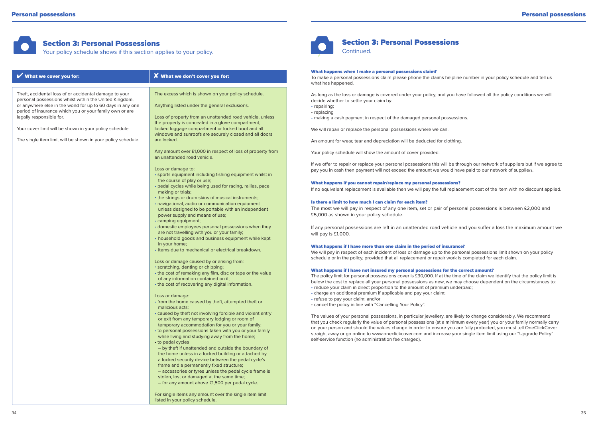$\overline{\phantom{a}}$ 

 $\overline{\phantom{a}}$  $\overline{\phantom{a}}$ 

# Section 3: Personal Possessions

Your policy schedule shows if this section applies to your policy.

| What we cover you for:                                                                                                                                                                                                                                                                                                                                                                           | X What we don't cover you for:                                                                                                                                                                                                                                                                                                                                                                                                                                                                                                                                                                                                                                                                                                                                                                                                                                                                                                                                                                                                                                                                                                                                                                                                                                                                                                                                                                                                                                                                                                                                                                                                                                                                                                                                                                                                                                                                                                                                                                                                                                                                                                                                                                    |
|--------------------------------------------------------------------------------------------------------------------------------------------------------------------------------------------------------------------------------------------------------------------------------------------------------------------------------------------------------------------------------------------------|---------------------------------------------------------------------------------------------------------------------------------------------------------------------------------------------------------------------------------------------------------------------------------------------------------------------------------------------------------------------------------------------------------------------------------------------------------------------------------------------------------------------------------------------------------------------------------------------------------------------------------------------------------------------------------------------------------------------------------------------------------------------------------------------------------------------------------------------------------------------------------------------------------------------------------------------------------------------------------------------------------------------------------------------------------------------------------------------------------------------------------------------------------------------------------------------------------------------------------------------------------------------------------------------------------------------------------------------------------------------------------------------------------------------------------------------------------------------------------------------------------------------------------------------------------------------------------------------------------------------------------------------------------------------------------------------------------------------------------------------------------------------------------------------------------------------------------------------------------------------------------------------------------------------------------------------------------------------------------------------------------------------------------------------------------------------------------------------------------------------------------------------------------------------------------------------------|
| Theft, accidental loss of or accidental damage to your<br>personal possessions whilst within the United Kingdom,<br>or anywhere else in the world for up to 60 days in any one<br>period of insurance which you or your family own or are<br>legally responsible for.<br>Your cover limit will be shown in your policy schedule.<br>The single item limit will be shown in your policy schedule. | The excess which is shown on your policy schedule.<br>Anything listed under the general exclusions.<br>Loss of property from an unattended road vehicle, unless<br>the property is concealed in a glove compartment,<br>locked luggage compartment or locked boot and all<br>windows and sunroofs are securely closed and all doors<br>are locked.<br>Any amount over £1,000 in respect of loss of property from<br>an unattended road vehicle.<br>Loss or damage to:<br>· sports equipment including fishing equipment whilst in<br>the course of play or use;<br>· pedal cycles while being used for racing, rallies, pace<br>making or trials;<br>• the strings or drum skins of musical instruments;<br>· navigational, audio or communication equipment<br>unless designed to be portable with an independent<br>power supply and means of use;<br>• camping equipment;<br>• domestic employees personal possessions when they<br>are not travelling with you or your family;<br>• household goods and business equipment while kept<br>in your home;<br>• items due to mechanical or electrical breakdown.<br>Loss or damage caused by or arising from:<br>· scratching, denting or chipping;<br>• the cost of remaking any film, disc or tape or the value<br>of any information contained on it;<br>• the cost of recovering any digital information.<br>Loss or damage:<br>• from the home caused by theft, attempted theft or<br>malicious acts;<br>• caused by theft not involving forcible and violent entry<br>or exit from any temporary lodging or room of<br>temporary accommodation for you or your family;<br>• to personal possessions taken with you or your family<br>while living and studying away from the home;<br>• to pedal cycles<br>- by theft if unattended and outside the boundary of<br>the home unless in a locked building or attached by<br>a locked security device between the pedal cycle's<br>frame and a permanently fixed structure;<br>- accessories or tyres unless the pedal cycle frame is<br>stolen, lost or damaged at the same time;<br>- for any amount above £1,500 per pedal cycle.<br>For single items any amount over the single item limit |

listed in your policy schedule



# Section 3: Personal Possessions

**Continued.** 

#### What happens when I make a personal possessions claim?

To make a personal possessions claim please phone the claims helpline number in your policy schedule and tell us what has happened.

As long as the loss or damage is covered under your policy, and you have followed all the policy conditions we will decide whether to settle your claim by:

- repairing;
- replacing

• making a cash payment in respect of the damaged personal possessions.

We will repair or replace the personal possessions where we can.

An amount for wear, tear and depreciation will be deducted for clothing.

Your policy schedule will show the amount of cover provided.

If we offer to repair or replace your personal possessions this will be through our network of suppliers but if we agree to pay you in cash then payment will not exceed the amount we would have paid to our network of suppliers.

#### What happens if you cannot repair/replace my personal possessions?

If no equivalent replacement is available then we will pay the full replacement cost of the item with no discount applied.

#### Is there a limit to how much I can claim for each item?

The most we will pay in respect of any one item, set or pair of personal possessions is between £2,000 and £5,000 as shown in your policy schedule.

If any personal possessions are left in an unattended road vehicle and you suffer a loss the maximum amount we will pay is £1,000.

#### What happens if I have more than one claim in the period of insurance?

We will pay in respect of each incident of loss or damage up to the personal possessions limit shown on your policy schedule or in the policy, provided that all replacement or repair work is completed for each claim.

#### What happens if I have not insured my personal possessions for the correct amount?

The policy limit for personal possessions cover is £30,000. If at the time of the claim we identify that the policy limit is below the cost to replace all your personal possessions as new, we may choose dependent on the circumstances to: • reduce your claim in direct proportion to the amount of premium underpaid;

- charge an additional premium if applicable and pay your claim;
- refuse to pay your claim; and/or
- cancel the policy in line with "Cancelling Your Policy".

The values of your personal possessions, in particular jewellery, are likely to change considerably. We recommend that you check regularly the value of personal possessions (at a minimum every year) you or your family normally carry on your person and should the values change in order to ensure you are fully protected, you must tell OneClickCover straight away or go online to www.oneclickcover.com and increase your single item limit using our "Upgrade Policy" self-service function (no administration fee charged).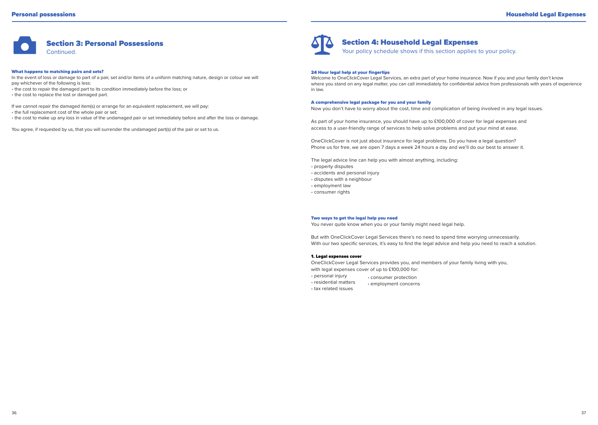

What happens to matching pairs and sets? In the event of loss or damage to part of a pair, set and/or items of a uniform matching nature, design or colour we will pay whichever of the following is less: • the cost to repair the damaged part to its condition immediately before the loss; or • the cost to replace the lost or damaged part.

If we cannot repair the damaged item(s) or arrange for an equivalent replacement, we will pay: • the full replacement cost of the whole pair or set; • the cost to make up any loss in value of the undamaged pair or set immediately before and after the loss or damage.

You agree, if requested by us, that you will surrender the undamaged part(s) of the pair or set to us.



# Section 4: Household Legal Expenses

Your policy schedule shows if this section applies to your policy.

#### 24 Hour legal help at your fingertips

Welcome to OneClickCover Legal Services, an extra part of your home insurance. Now if you and your family don't know where you stand on any legal matter, you can call immediately for confidential advice from professionals with years of experience in law.

#### A comprehensive legal package for you and your family

Now you don't have to worry about the cost, time and complication of being involved in any legal issues.

As part of your home insurance, you should have up to £100,000 of cover for legal expenses and access to a user-friendly range of services to help solve problems and put your mind at ease.

OneClickCover is not just about insurance for legal problems. Do you have a legal question? Phone us for free, we are open 7 days a week 24 hours a day and we'll do our best to answer it.

The legal advice line can help you with almost anything, including:

- property disputes
- accidents and personal injury
- disputes with a neighbour
- employment law
- consumer rights

#### Two ways to get the legal help you need

You never quite know when you or your family might need legal help.

But with OneClickCover Legal Services there's no need to spend time worrying unnecessarily. With our two specific services, it's easy to find the legal advice and help you need to reach a solution.

### 1. Legal expenses cover

OneClickCover Legal Services provides you, and members of your family living with you, with legal expenses cover of up to £100,000 for:

- personal injury • consumer protection
- residential matters • employment concerns
- tax related issues

36 and the contract of the contract of the contract of the contract of the contract of the contract of the contract of the contract of the contract of the contract of the contract of the contract of the contract of the con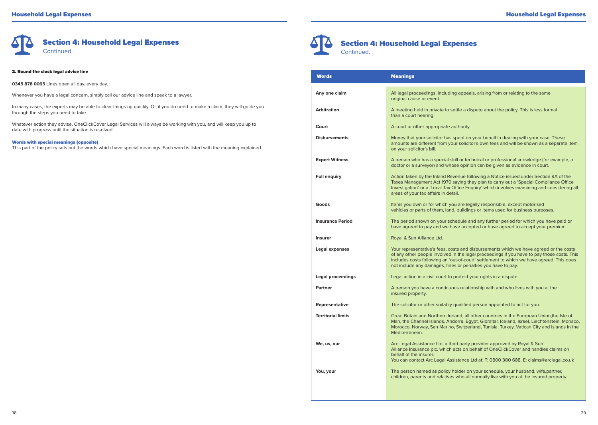

#### 2. Round the clock legal advice line

**0345 878 0065** Lines open all day, every day.

Whenever you have a legal concern, simply call our advice line and speak to a lawyer.

In many cases, the experts may be able to clear things up quickly. Or, if you do need to make a claim, they will guide you through the steps you need to take.

Whatever action they advise, OneClickCover Legal Services will always be working with you, and will keep you up to date with progress until the situation is resolved.

#### Words with special meanings (opposite)

This part of the policy sets out the words which have special meanings. Each word is listed with the meaning explained.



I

I I Section 4: Household Legal Expenses Continued.

| <b>Words</b>              | <b>Meanings</b>                                                                                                                                                                                                                                                                                                                                 |  |
|---------------------------|-------------------------------------------------------------------------------------------------------------------------------------------------------------------------------------------------------------------------------------------------------------------------------------------------------------------------------------------------|--|
| Any one claim             | All legal proceedings, including appeals, arising from or relating to the same<br>original cause or event.                                                                                                                                                                                                                                      |  |
| Arbitration               | A meeting held in private to settle a dispute about the policy. This is less formal<br>than a court hearing.                                                                                                                                                                                                                                    |  |
| Court                     | A court or other appropriate authority.                                                                                                                                                                                                                                                                                                         |  |
| <b>Disbursements</b>      | Money that your solicitor has spent on your behalf in dealing with your case. These<br>amounts are different from your solicitor's own fees and will be shown as a separate item<br>on your solicitor's bill.                                                                                                                                   |  |
| <b>Expert Witness</b>     | A person who has a special skill or technical or professional knowledge (for example, a<br>doctor or a surveyor) and whose opinion can be given as evidence in court.                                                                                                                                                                           |  |
| <b>Full enquiry</b>       | Action taken by the Inland Revenue following a Notice issued under Section 9A of the<br>Taxes Management Act 1970 saying they plan to carry out a 'Special Compliance Office<br>Investigation' or a 'Local Tax Office Enquiry' which involves examining and considering all<br>areas of your tax affairs in detail.                             |  |
| Goods                     | Items you own or for which you are legally responsible, except motorised<br>vehicles or parts of them, land, buildings or items used for business purposes.                                                                                                                                                                                     |  |
| <b>Insurance Period</b>   | The period shown on your schedule and any further period for which you have paid or<br>have agreed to pay and we have accepted or have agreed to accept your premium.                                                                                                                                                                           |  |
| Insurer                   | Royal & Sun Alliance Ltd.                                                                                                                                                                                                                                                                                                                       |  |
| Legal expenses            | Your representative's fees, costs and disbursements which we have agreed or the costs<br>of any other people involved in the legal proceedings if you have to pay those costs. This<br>includes costs following an 'out-of-court' settlement to which we have agreed. This does<br>not include any damages, fines or penalties you have to pay. |  |
| <b>Legal proceedings</b>  | Legal action in a civil court to protect your rights in a dispute.                                                                                                                                                                                                                                                                              |  |
| Partner                   | A person you have a continuous relationship with and who lives with you at the<br>insured property.                                                                                                                                                                                                                                             |  |
| Representative            | The solicitor or other suitably qualified person appointed to act for you.                                                                                                                                                                                                                                                                      |  |
| <b>Territorial limits</b> | Great Britain and Northern Ireland, all other countries in the European Union, the Isle of<br>Man, the Channel Islands, Andorra, Egypt, Gibraltar, Iceland, Israel, Liechtenstein, Monaco,<br>Morocco, Norway, San Marino, Switzerland, Tunisia, Turkey, Vatican City and islands in the<br>Mediterranean.                                      |  |
| We, us, our               | Arc Legal Assistance Ltd, a third party provider approved by Royal & Sun<br>Alliance Insurance plc. which acts on behalf of OneClickCover and handles claims on<br>behalf of the insurer.<br>You can contact Arc Legal Assistance Ltd at: T: 0800 300 688. E: claims@arclegal.co.uk                                                             |  |
| You, your                 | The person named as policy holder on your schedule, your husband, wife, partner,<br>children, parents and relatives who all normally live with you at the insured property.                                                                                                                                                                     |  |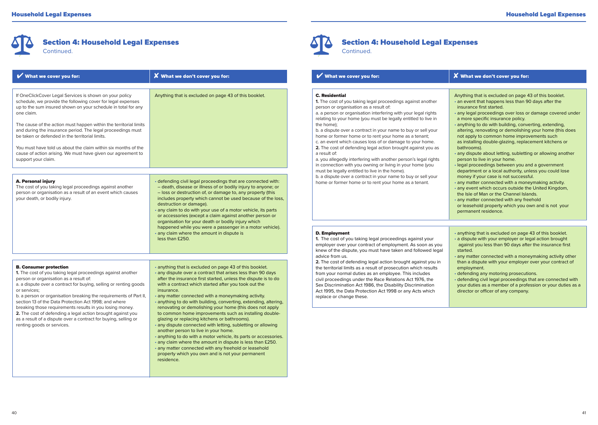

| What we cover you for:                                                                                                                                                                                                                                                                                                                                                                                                                                                                                                                                                                | X What we don't cover you for:                                                                                                                                                                                                                                                                                                                                                                                                                                                                                                                                                                                                                                                                                                                                                                                                                                                                                                       | What we cover you for:                                                                                                                                                                                                                                                                                                                                                                                                                                                                                                                                                                                                                                                                 | $\boldsymbol{X}$ What we don't cover you for                                                                                                                                                                                                                                                                                                                                                                                                                                                                                                                                                                                                                                                                                                                                                                                                                                                                                                                                                                                                                                                                                                                |
|---------------------------------------------------------------------------------------------------------------------------------------------------------------------------------------------------------------------------------------------------------------------------------------------------------------------------------------------------------------------------------------------------------------------------------------------------------------------------------------------------------------------------------------------------------------------------------------|--------------------------------------------------------------------------------------------------------------------------------------------------------------------------------------------------------------------------------------------------------------------------------------------------------------------------------------------------------------------------------------------------------------------------------------------------------------------------------------------------------------------------------------------------------------------------------------------------------------------------------------------------------------------------------------------------------------------------------------------------------------------------------------------------------------------------------------------------------------------------------------------------------------------------------------|----------------------------------------------------------------------------------------------------------------------------------------------------------------------------------------------------------------------------------------------------------------------------------------------------------------------------------------------------------------------------------------------------------------------------------------------------------------------------------------------------------------------------------------------------------------------------------------------------------------------------------------------------------------------------------------|-------------------------------------------------------------------------------------------------------------------------------------------------------------------------------------------------------------------------------------------------------------------------------------------------------------------------------------------------------------------------------------------------------------------------------------------------------------------------------------------------------------------------------------------------------------------------------------------------------------------------------------------------------------------------------------------------------------------------------------------------------------------------------------------------------------------------------------------------------------------------------------------------------------------------------------------------------------------------------------------------------------------------------------------------------------------------------------------------------------------------------------------------------------|
| If OneClickCover Legal Services is shown on your policy<br>schedule, we provide the following cover for legal expenses<br>up to the sum insured shown on your schedule in total for any<br>one claim.<br>The cause of the action must happen within the territorial limits<br>and during the insurance period. The legal proceedings must<br>be taken or defended in the territorial limits.<br>You must have told us about the claim within six months of the<br>cause of action arising. We must have given our agreement to<br>support your claim.                                 | Anything that is excluded on page 43 of this booklet.                                                                                                                                                                                                                                                                                                                                                                                                                                                                                                                                                                                                                                                                                                                                                                                                                                                                                | <b>C. Residential</b><br>1. The cost of you taking legal proceedings against another<br>person or organisation as a result of:<br>a. a person or organisation interfering with your legal rights<br>relating to your home (you must be legally entitled to live in<br>the home);<br>b. a dispute over a contract in your name to buy or sell your<br>home or former home or to rent your home as a tenant;<br>c. an event which causes loss of or damage to your home.<br>2. The cost of defending legal action brought against you as<br>a result of:<br>a. you allegedly interfering with another person's legal rights<br>in connection with you owning or living in your home (you | Anything that is excluded on page .<br>. an event that happens less than 9<br>insurance first started.<br>· any legal proceedings over loss o<br>a more specific insurance policy.<br>· anything to do with building, conv<br>altering, renovating or demolishin<br>not apply to common home impro<br>as installing double-glazing, repla-<br>bathrooms).<br>· any dispute about letting, sublettir<br>person to live in your home.<br>· legal proceedings between you a<br>department or a local authority, ur<br>money if your case is not success<br>· any matter connected with a mon<br>· any event which occurs outside th<br>the Isle of Man or the Channel Isla<br>• any matter connected with any fre<br>or leasehold property which you o<br>permanent residence.<br>• anything that is excluded on page<br>• a dispute with your employer or le<br>against you less than 90 days aft<br>started.<br>· any matter connected with a mon<br>than a dispute with your employer<br>employment.<br>· defending any motoring prosecut<br>· defending civil legal proceedings<br>your duties as a member of a prof<br>director or officer of any company |
| A. Personal injury<br>The cost of you taking legal proceedings against another<br>person or organisation as a result of an event which causes<br>your death, or bodily injury.                                                                                                                                                                                                                                                                                                                                                                                                        | · defending civil legal proceedings that are connected with:<br>- death, disease or illness of or bodily injury to anyone; or<br>- loss or destruction of, or damage to, any property (this<br>includes property which cannot be used because of the loss,<br>destruction or damage).<br>any claim to do with your use of a motor vehicle, its parts<br>or accessories (except a claim against another person or<br>organisation for your death or bodily injury which<br>happened while you were a passenger in a motor vehicle).<br>· any claim where the amount in dispute is<br>less than £250.                                                                                                                                                                                                                                                                                                                                  | must be legally entitled to live in the home).<br>b. a dispute over a contract in your name to buy or sell your<br>home or former home or to rent your home as a tenant.<br>D. Employment<br>1. The cost of you taking legal proceedings against your<br>employer over your contract of employment. As soon as you                                                                                                                                                                                                                                                                                                                                                                     |                                                                                                                                                                                                                                                                                                                                                                                                                                                                                                                                                                                                                                                                                                                                                                                                                                                                                                                                                                                                                                                                                                                                                             |
| <b>B. Consumer protection</b><br>1. The cost of you taking legal proceedings against another<br>person or organisation as a result of:<br>a. a dispute over a contract for buying, selling or renting goods<br>or services;<br>b. a person or organisation breaking the requirements of Part II,<br>section 13 of the Data Protection Act 1998; and where<br>breaking those requirements results in you losing money.<br>2. The cost of defending a legal action brought against you<br>as a result of a dispute over a contract for buying, selling or<br>renting goods or services. | • anything that is excluded on page 43 of this booklet.<br>• any dispute over a contract that arises less than 90 days<br>after the insurance first started, unless the dispute is to do<br>with a contract which started after you took out the<br>insurance.<br>• any matter connected with a moneymaking activity.<br>· anything to do with building, converting, extending, altering,<br>renovating or demolishing your home (this does not apply<br>to common home improvements such as installing double-<br>glazing or replacing kitchens or bathrooms).<br>• any dispute connected with letting, subletting or allowing<br>another person to live in your home.<br>• anything to do with a motor vehicle, its parts or accessories.<br>• any claim where the amount in dispute is less than £250.<br>· any matter connected with any freehold or leasehold<br>property which you own and is not your permanent<br>residence. | knew of the dispute, you must have taken and followed legal<br>advice from us.<br>2. The cost of defending legal action brought against you in<br>the territorial limits as a result of prosecution which results<br>from your normal duties as an employee. This includes<br>civil proceedings under the Race Relations Act 1976, the<br>Sex Discrimination Act 1986, the Disability Discrimination<br>Act 1995, the Data Protection Act 1998 or any Acts which<br>replace or change these.                                                                                                                                                                                           |                                                                                                                                                                                                                                                                                                                                                                                                                                                                                                                                                                                                                                                                                                                                                                                                                                                                                                                                                                                                                                                                                                                                                             |



Section 4: Household Legal Expenses Continued.

| $\boldsymbol{X}$ What we don't cover you for:                                                                                                                                                                                                                                                                                                                                                                                                                           | What we cover you for:                                                                                                                                                                                                                                                                                                                                                                                                                                                                                                                                                                                                                                                                                                                                                                                                                                             | <b>X</b> What we don't cover you for:                                                                                                                                                                                                                                                                                                                                                                                                                                                                                                                                                                                                                                                                                                                                                                                                                                                                                                                                                                                             |
|-------------------------------------------------------------------------------------------------------------------------------------------------------------------------------------------------------------------------------------------------------------------------------------------------------------------------------------------------------------------------------------------------------------------------------------------------------------------------|--------------------------------------------------------------------------------------------------------------------------------------------------------------------------------------------------------------------------------------------------------------------------------------------------------------------------------------------------------------------------------------------------------------------------------------------------------------------------------------------------------------------------------------------------------------------------------------------------------------------------------------------------------------------------------------------------------------------------------------------------------------------------------------------------------------------------------------------------------------------|-----------------------------------------------------------------------------------------------------------------------------------------------------------------------------------------------------------------------------------------------------------------------------------------------------------------------------------------------------------------------------------------------------------------------------------------------------------------------------------------------------------------------------------------------------------------------------------------------------------------------------------------------------------------------------------------------------------------------------------------------------------------------------------------------------------------------------------------------------------------------------------------------------------------------------------------------------------------------------------------------------------------------------------|
| Anything that is excluded on page 43 of this booklet.<br>defending civil legal proceedings that are connected with:<br>- death, disease or illness of or bodily injury to anyone; or<br>- loss or destruction of, or damage to, any property (this<br>includes property which cannot be used because of the loss,<br>destruction or damage).<br>any claim to do with your use of a motor vehicle, its parts<br>or accessories (except a claim against another person or | <b>C.</b> Residential<br>1. The cost of you taking legal proceedings against another<br>person or organisation as a result of:<br>a. a person or organisation interfering with your legal rights<br>relating to your home (you must be legally entitled to live in<br>the home):<br>b. a dispute over a contract in your name to buy or sell your<br>home or former home or to rent your home as a tenant;<br>c. an event which causes loss of or damage to your home.<br>2. The cost of defending legal action brought against you as<br>a result of:<br>a. you allegedly interfering with another person's legal rights<br>in connection with you owning or living in your home (you<br>must be legally entitled to live in the home).<br>b. a dispute over a contract in your name to buy or sell your<br>home or former home or to rent your home as a tenant. | Anything that is excluded on page 43 of this booklet.<br>• an event that happens less than 90 days after the<br>insurance first started.<br>· any legal proceedings over loss or damage covered under<br>a more specific insurance policy.<br>· anything to do with building, converting, extending,<br>altering, renovating or demolishing your home (this does<br>not apply to common home improvements such<br>as installing double-glazing, replacement kitchens or<br>bathrooms).<br>· any dispute about letting, subletting or allowing another<br>person to live in your home.<br>· legal proceedings between you and a government<br>department or a local authority, unless you could lose<br>money if your case is not successful.<br>• any matter connected with a moneymaking activity.<br>• any event which occurs outside the United Kingdom,<br>the Isle of Man or the Channel Islands.<br>• any matter connected with any freehold<br>or leasehold property which you own and is not your<br>permanent residence. |
| organisation for your death or bodily injury which<br>happened while you were a passenger in a motor vehicle).<br>any claim where the amount in dispute is<br>less than £250.                                                                                                                                                                                                                                                                                           | D. Employment<br>1. The cost of you taking legal proceedings against your<br>employer over your contract of employment. As soon as you<br>$\sim$ . The contract of the contract of the contract of the contract of the contract of the contract of the contract of the contract of the contract of the contract of the contract of the contract of the contract of the co                                                                                                                                                                                                                                                                                                                                                                                                                                                                                          | • anything that is excluded on page 43 of this booklet.<br>• a dispute with your employer or legal action brought<br>against you less than 90 days after the insurance first                                                                                                                                                                                                                                                                                                                                                                                                                                                                                                                                                                                                                                                                                                                                                                                                                                                      |

started. • any matter connected with a moneymaking activity other

than a dispute with your employer over your contract of employment.

• defending any motoring prosecutions.

• defending civil legal proceedings that are connected with your duties as a member of a profession or your duties as a director or officer of any company.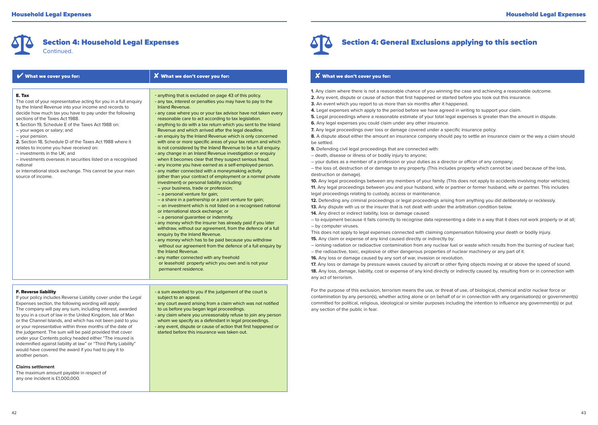

| What we cover you for:                                                                                                                                                                                                                                                                                                                                                                                                                                                                                                                                                                                                                         | <b>X</b> What we don't cover you for:                                                                                                                                                                                                                                                                                                                                                                                                                                                                                                                                                                                                                                                                                                                                                                                                                                                                                                                                                                                                                                                                                                                                                                                                                                                                                                                                                                                                                                                                                                                                                                                                                                             |
|------------------------------------------------------------------------------------------------------------------------------------------------------------------------------------------------------------------------------------------------------------------------------------------------------------------------------------------------------------------------------------------------------------------------------------------------------------------------------------------------------------------------------------------------------------------------------------------------------------------------------------------------|-----------------------------------------------------------------------------------------------------------------------------------------------------------------------------------------------------------------------------------------------------------------------------------------------------------------------------------------------------------------------------------------------------------------------------------------------------------------------------------------------------------------------------------------------------------------------------------------------------------------------------------------------------------------------------------------------------------------------------------------------------------------------------------------------------------------------------------------------------------------------------------------------------------------------------------------------------------------------------------------------------------------------------------------------------------------------------------------------------------------------------------------------------------------------------------------------------------------------------------------------------------------------------------------------------------------------------------------------------------------------------------------------------------------------------------------------------------------------------------------------------------------------------------------------------------------------------------------------------------------------------------------------------------------------------------|
| E. Tax<br>The cost of your representative acting for you in a full enquiry<br>by the Inland Revenue into your income and records to<br>decide how much tax you have to pay under the following<br>sections of the Taxes Act 1988.<br>1. Section 19. Schedule E of the Taxes Act 1988 on:<br>- your wages or salary; and<br>- your pension.<br>2. Section 18, Schedule D of the Taxes Act 1988 where it<br>relates to income you have received on:<br>- investments in the UK; and<br>- investments overseas in securities listed on a recognised<br>national<br>or international stock exchange. This cannot be your main<br>source of income. | • anything that is excluded on page 43 of this policy.<br>· any tax, interest or penalties you may have to pay to the<br>Inland Revenue.<br>• any case where you or your tax advisor have not taken every<br>reasonable care to act according to tax legislation.<br>· anything to do with a tax return which you sent to the Inland<br>Revenue and which arrived after the legal deadline.<br>• an enquiry by the Inland Revenue which is only concerned<br>with one or more specific areas of your tax return and which<br>is not considered by the Inland Revenue to be a full enquiry.<br>· any change in an Inland Revenue investigation or enquiry<br>when it becomes clear that they suspect serious fraud.<br>· any income you have earned as a self-employed person.<br>• any matter connected with a moneymaking activity<br>(other than your contract of employment or a normal private<br>investment) or personal liability including:<br>- your business, trade or profession;<br>- a personal venture for gain;<br>- a share in a partnership or a joint venture for gain;<br>- an investment which is not listed on a recognised national<br>or international stock exchange; or<br>- a personal quarantee or indemnity.<br>• any money which the insurer has already paid if you later<br>withdraw, without our agreement, from the defence of a full<br>enquiry by the Inland Revenue.<br>• any money which has to be paid because you withdraw<br>without our agreement from the defence of a full enquiry by<br>the Inland Revenue.<br>• any matter connected with any freehold<br>or leasehold property which you own and is not your<br>permanent residence. |
| E. Dovorce linhility                                                                                                                                                                                                                                                                                                                                                                                                                                                                                                                                                                                                                           | a sum awarded to you if the judgement of the sourt is                                                                                                                                                                                                                                                                                                                                                                                                                                                                                                                                                                                                                                                                                                                                                                                                                                                                                                                                                                                                                                                                                                                                                                                                                                                                                                                                                                                                                                                                                                                                                                                                                             |

#### F. Reverse liability

If your policy includes Reverse Liability cover under the Legal Expenses section, the following wording will apply: The company will pay any sum, including interest, awarded to you in a court of law in the United Kingdom, Isle of Man or the Channel Islands, and which has not been paid to you or your representative within three months of the date of the judgement. The sum will be paid provided that cover under your Contents policy headed either "The insured is indemnified against liability at law" or "Third Party Liability" would have covered the award if you had to pay it to another person.

**Claims settlement**

The maximum amount payable in respect of any one incident is £1,000,000.

ed to you if the judgement of the court is subject to an appeal.

• any court award arising from a claim which was not notified to us before you began legal proceedings.

- any claim where you unreasonably refuse to join any person
- whom we specify as a defendant in legal proceedings.
- any event, dispute or cause of action that first happened or started before this insurance was taken out.



# Section 4: General Exclusions applying to this section

# $\boldsymbol{X}$  What we don't cover you for:

- **1.** Any claim where there is not a reasonable chance of you winning the case and achieving a reasonable outcome.
- **2.** Any event, dispute or cause of action that first happened or started before you took out this insurance.
- **3.** An event which you report to us more than six months after it happened.
- **4.** Legal expenses which apply to the period before we have agreed in writing to support your claim.
- **5.** Legal proceedings where a reasonable estimate of your total legal expenses is greater than the amount in dispute.
- **6.** Any legal expenses you could claim under any other insurance.
- **7.** Any legal proceedings over loss or damage covered under a specific insurance policy.
- **8.** A dispute about either the amount an insurance company should pay to settle an insurance claim or the way a claim should be settled.
- **9.** Defending civil legal proceedings that are connected with:
- death, disease or illness of or bodily injury to anyone;
- your duties as a member of a profession or your duties as a director or officer of any company;

– the loss of, destruction of or damage to any property. (This includes property which cannot be used because of the loss, destruction or damage).

**10.** Any legal proceedings between any members of your family. (This does not apply to accidents involving motor vehicles). **11.** Any legal proceedings between you and your husband, wife or partner or former husband, wife or partner. This includes legal proceedings relating to custody, access or maintenance.

**12.** Defending any criminal proceedings or legal proceedings arising from anything you did deliberately or recklessly.

- **13.** Any dispute with us or the insurer that is not dealt with under the arbitration condition below.
- **14.** Any direct or indirect liability, loss or damage caused:

– to equipment because it fails correctly to recognise data representing a date in a way that it does not work properly or at all; – by computer viruses.

This does not apply to legal expenses connected with claiming compensation following your death or bodily injury. **15.** Any claim or expense of any kind caused directly or indirectly by:

- ionising radiation or radioactive contamination from any nuclear fuel or waste which results from the burning of nuclear fuel; – the radioactive, toxic, explosive or other dangerous properties of nuclear machinery or any part of it.
- **16.** Any loss or damage caused by any sort of war, invasion or revolution.

**17.** Any loss or damage by pressure waves caused by aircraft or other flying objects moving at or above the speed of sound. **18.** Any loss, damage, liability, cost or expense of any kind directly or indirectly caused by, resulting from or in connection with any act of terrorism.

For the purpose of this exclusion, terrorism means the use, or threat of use, of biological, chemical and/or nuclear force or contamination by any person(s), whether acting alone or on behalf of or in connection with any organisation(s) or government(s) committed for political, religious, ideological or similar purposes including the intention to influence any government(s) or put any section of the public in fear.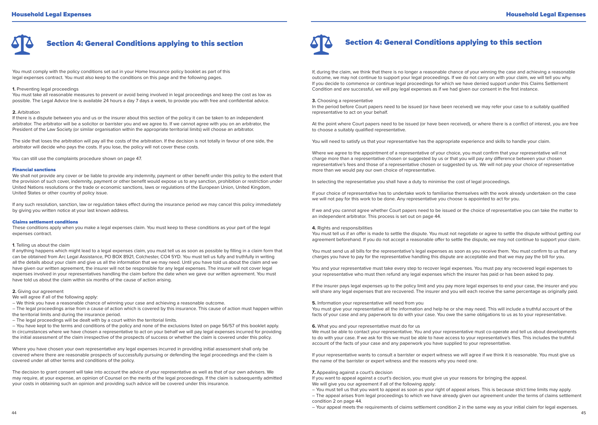

You must comply with the policy conditions set out in your Home Insurance policy booklet as part of this legal expenses contract. You must also keep to the conditions on this page and the following pages.

#### **1.** Preventing legal proceedings

You must take all reasonable measures to prevent or avoid being involved in legal proceedings and keep the cost as low as possible. The Legal Advice line is available 24 hours a day 7 days a week, to provide you with free and confidential advice.

#### **2.** Arbitration

If there is a dispute between you and us or the insurer about this section of the policy it can be taken to an independent arbitrator. The arbitrator will be a solicitor or barrister you and we agree to. If we cannot agree with you on an arbitrator, the President of the Law Society (or similar organisation within the appropriate territorial limits) will choose an arbitrator.

The side that loses the arbitration will pay all the costs of the arbitration. If the decision is not totally in favour of one side, the arbitrator will decide who pays the costs. If you lose, the policy will not cover these costs.

You can still use the complaints procedure shown on page 47.

#### Financial sanctions

We shall not provide any cover or be liable to provide any indemnity, payment or other benefit under this policy to the extent that the provision of such cover, indemnity, payment or other benefit would expose us to any sanction, prohibition or restriction under United Nations resolutions or the trade or economic sanctions, laws or regulations of the European Union, United Kingdom, United States or other country of policy issue.

If any such resolution, sanction, law or regulation takes effect during the insurance period we may cancel this policy immediately by giving you written notice at your last known address.

#### Claims settlement conditions

These conditions apply when you make a legal expenses claim. You must keep to these conditions as your part of the legal expenses contract.

### **1**. Telling us about the claim

If anything happens which might lead to a legal expenses claim, you must tell us as soon as possible by filling in a claim form that can be obtained from Arc Legal Assistance, PO BOX 8921, Colchester, CO4 5YD. You must tell us fully and truthfully in writing all the details about your claim and give us all the information that we may need. Until you have told us about the claim and we have given our written agreement, the insurer will not be responsible for any legal expenses. The insurer will not cover legal expenses involved in your representatives handling the claim before the date when we gave our written agreement. You must have told us about the claim within six months of the cause of action arising.

#### **2.** Giving our agreement

We will agree if all of the following apply:

– We think you have a reasonable chance of winning your case and achieving a reasonable outcome.

– The legal proceedings arise from a cause of action which is covered by this insurance. This cause of action must happen within the territorial limits and during the insurance period.

– The legal proceedings will be dealt with by a court within the territorial limits.

– You have kept to the terms and conditions of the policy and none of the exclusions listed on page 56/57 of this booklet apply. In circumstances where we have chosen a representative to act on your behalf we will pay legal expenses incurred for providing the initial assessment of the claim irrespective of the prospects of success or whether the claim is covered under this policy.

Where you have chosen your own representative any legal expenses incurred in providing initial assessment shall only be covered where there are reasonable prospects of successfully pursuing or defending the legal proceedings and the claim is covered under all other terms and conditions of the policy.

The decision to grant consent will take into account the advice of your representative as well as that of our own advisers. We may require, at your expense, an opinion of Counsel on the merits of the legal proceedings. If the claim is subsequently admitted your costs in obtaining such an opinion and providing such advice will be covered under this insurance.



If, during the claim, we think that there is no longer a reasonable chance of your winning the case and achieving a reasonable outcome, we may not continue to support your legal proceedings. If we do not carry on with your claim, we will tell you why. If you decide to commence or continue legal proceedings for which we have denied support under this Claims Settlement Condition and are successful, we will pay legal expenses as if we had given our consent in the first instance.

**3.** Choosing a representative

In the period before Court papers need to be issued (or have been received) we may refer your case to a suitably qualified representative to act on your behalf.

At the point where Court papers need to be issued (or have been received), or where there is a conflict of interest, you are free to choose a suitably qualified representative.

You will need to satisfy us that your representative has the appropriate experience and skills to handle your claim.

Where we agree to the appointment of a representative of your choice, you must confirm that your representative will not charge more than a representative chosen or suggested by us or that you will pay any difference between your chosen representative's fees and those of a representative chosen or suggested by us. We will not pay your choice of representative more than we would pay our own choice of representative.

In selecting the representative you shall have a duty to minimise the cost of legal proceedings.

If your choice of representative has to undertake work to familiarise themselves with the work already undertaken on the case we will not pay for this work to be done. Any representative you choose is appointed to act for you.

If we and you cannot agree whether Court papers need to be issued or the choice of representative you can take the matter to an independent arbitrator. This process is set out on page 44.

#### **4.** Rights and responsibilities

You must tell us if an offer is made to settle the dispute. You must not negotiate or agree to settle the dispute without getting our agreement beforehand. If you do not accept a reasonable offer to settle the dispute, we may not continue to support your claim.

You must send us all bills for the representative's legal expenses as soon as you receive them. You must confirm to us that any charges you have to pay for the representative handling this dispute are acceptable and that we may pay the bill for you.

You and your representative must take every step to recover legal expenses. You must pay any recovered legal expenses to your representative who must then refund any legal expenses which the insurer has paid or has been asked to pay.

If the insurer pays legal expenses up to the policy limit and you pay more legal expenses to end your case, the insurer and you will share any legal expenses that are recovered. The insurer and you will each receive the same percentage as originally paid.

#### **5.** Information your representative will need from you

You must give your representative all the information and help he or she may need. This will include a truthful account of the facts of your case and any paperwork to do with your case. You owe the same obligations to us as to your representative.

#### **6.** What you and your representative must do for us

We must be able to contact your representative. You and your representative must co-operate and tell us about developments to do with your case. If we ask for this we must be able to have access to your representative's files. This includes the truthful account of the facts of your case and any paperwork you have supplied to your representative.

If your representative wants to consult a barrister or expert witness we will agree if we think it is reasonable. You must give us the name of the barrister or expert witness and the reasons why you need one.

#### 7. Appealing against a court's decision

If you want to appeal against a court's decision, you must give us your reasons for bringing the appeal. We will give you our agreement if all of the following apply:

- You must tell us that you want to appeal as soon as your right of appeal arises. This is because strict time limits may apply.
- The appeal arises from legal proceedings to which we have already given our agreement under the terms of claims settlement condition 2 on page 44.
- Your appeal meets the requirements of claims settlement condition 2 in the same way as your initial claim for legal expenses.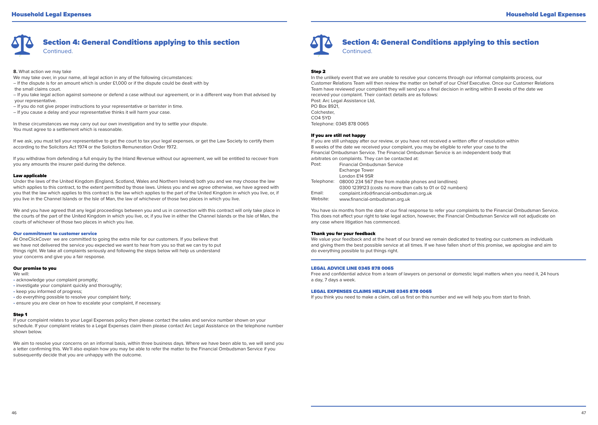

**8.** What action we may take

- We may take over, in your name, all legal action in any of the following circumstances:
- If the dispute is for an amount which is under £1,000 or if the dispute could be dealt with by the small claims court.
- If you take legal action against someone or defend a case without our agreement, or in a different way from that advised by your representative.
- If you do not give proper instructions to your representative or barrister in time.
- If you cause a delay and your representative thinks it will harm your case.

In these circumstances we may carry out our own investigation and try to settle your dispute. You must agree to a settlement which is reasonable.

If we ask, you must tell your representative to get the court to tax your legal expenses, or get the Law Society to certify them according to the Solicitors Act 1974 or the Solicitors Remuneration Order 1972.

If you withdraw from defending a full enquiry by the Inland Revenue without our agreement, we will be entitled to recover from you any amounts the insurer paid during the defence.

#### Law applicable

Under the laws of the United Kingdom (England, Scotland, Wales and Northern Ireland) both you and we may choose the law which applies to this contract, to the extent permitted by those laws. Unless you and we agree otherwise, we have agreed with you that the law which applies to this contract is the law which applies to the part of the United Kingdom in which you live, or, if you live in the Channel Islands or the Isle of Man, the law of whichever of those two places in which you live.

We and you have agreed that any legal proceedings between you and us in connection with this contract will only take place in the courts of the part of the United Kingdom in which you live, or, if you live in either the Channel Islands or the Isle of Man, the courts of whichever of those two places in which you live.

#### Our commitment to customer service

At OneClickCover we are committed to going the extra mile for our customers. If you believe that we have not delivered the service you expected we want to hear from you so that we can try to put things right. We take all complaints seriously and following the steps below will help us understand your concerns and give you a fair response.

#### Our promise to you

#### We will:

- acknowledge your complaint promptly;
- investigate your complaint quickly and thoroughly;
- keep you informed of progress;
- do everything possible to resolve your complaint fairly;
- ensure you are clear on how to escalate your complaint, if necessary.

#### Step 1

If your complaint relates to your Legal Expenses policy then please contact the sales and service number shown on your schedule. If your complaint relates to a Legal Expenses claim then please contact Arc Legal Assistance on the telephone number shown below.

We aim to resolve your concerns on an informal basis, within three business days. Where we have been able to, we will send you a letter confirming this. We'll also explain how you may be able to refer the matter to the Financial Ombudsman Service if you subsequently decide that you are unhappy with the outcome.



# Section 4: General Conditions applying to this section **Continued**

#### Step 2

In the unlikely event that we are unable to resolve your concerns through our informal complaints process, our Customer Relations Team will then review the matter on behalf of our Chief Executive. Once our Customer Relations Team have reviewed your complaint they will send you a final decision in writing within 8 weeks of the date we received your complaint. Their contact details are as follows: Post: Arc Legal Assistance Ltd. PO Box 8921, Colchester, CO4 5YD Telephone: 0345 878 0065

#### If you are still not happy

If you are still unhappy after our review, or you have not received a written offer of resolution within 8 weeks of the date we received your complaint, you may be eligible to refer your case to the Financial Ombudsman Service. The Financial Ombudsman Service is an independent body that arbitrates on complaints. They can be contacted at:

| Post:    | <b>Financial Ombudsman Service</b>                               |
|----------|------------------------------------------------------------------|
|          | <b>Exchange Tower</b>                                            |
|          | London E14 9SR                                                   |
|          | Telephone: 08000 234 567 (free from mobile phones and landlines) |
|          | 0300 1239123 (costs no more than calls to 01 or 02 numbers)      |
| Email:   | complaint.info@financial-ombudsman.org.uk                        |
| Website: | www.financial-ombudsman.org.uk                                   |
|          |                                                                  |

You have six months from the date of our final response to refer your complaints to the Financial Ombudsman Service. This does not affect your right to take legal action, however, the Financial Ombudsman Service will not adjudicate on any case where litigation has commenced.

#### Thank you for your feedback

We value your feedback and at the heart of our brand we remain dedicated to treating our customers as individuals and giving them the best possible service at all times. If we have fallen short of this promise, we apologise and aim to do everything possible to put things right.

#### LEGAL ADVICE LINE 0345 878 0065

Free and confidential advice from a team of lawyers on personal or domestic legal matters when you need it, 24 hours a day, 7 days a week.

#### LEGAL EXPENSES CLAIMS HELPLINE 0345 878 0065

If you think you need to make a claim, call us first on this number and we will help you from start to finish.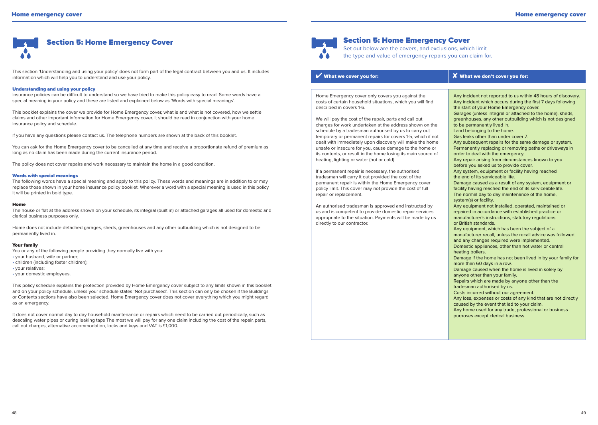

This section 'Understanding and using your policy' does not form part of the legal contract between you and us. It includes information which will help you to understand and use your policy.

#### Understanding and using your policy

Insurance policies can be difficult to understand so we have tried to make this policy easy to read. Some words have a special meaning in your policy and these are listed and explained below as 'Words with special meanings'.

This booklet explains the cover we provide for Home Emergency cover, what is and what is not covered, how we settle claims and other important information for Home Emergency cover. It should be read in conjunction with your home insurance policy and schedule.

If you have any questions please contact us. The telephone numbers are shown at the back of this booklet.

You can ask for the Home Emergency cover to be cancelled at any time and receive a proportionate refund of premium as long as no claim has been made during the current insurance period.

The policy does not cover repairs and work necessary to maintain the home in a good condition.

#### Words with special meanings

The following words have a special meaning and apply to this policy. These words and meanings are in addition to or may replace those shown in your home insurance policy booklet. Wherever a word with a special meaning is used in this policy it will be printed in bold type.

#### Home

The house or flat at the address shown on your schedule, its integral (built in) or attached garages all used for domestic and clerical business purposes only.

Home does not include detached garages, sheds, greenhouses and any other outbuilding which is not designed to be permanently lived in.

#### Your family

You or any of the following people providing they normally live with you:

- your husband, wife or partner;
- children (including foster children);
- your relatives;
- your domestic employees.

This policy schedule explains the protection provided by Home Emergency cover subject to any limits shown in this booklet and on your policy schedule, unless your schedule states 'Not purchased'. This section can only be chosen if the Buildings or Contents sections have also been selected. Home Emergency cover does not cover everything which you might regard as an emergency.

It does not cover normal day to day household maintenance or repairs which need to be carried out periodically, such as descaling water pipes or curing leaking taps The most we will pay for any one claim including the cost of the repair, parts, call out charges, alternative accommodation, locks and keys and VAT is £1,000.



I

I I

# Section 5: Home Emergency Cover

Set out below are the covers, and exclusions, which limit the type and value of emergency repairs you can claim for.

# $\boldsymbol{\mathcal{V}}$  What we cover you for:  $\boldsymbol{\mathcal{S}}$  What we don't cover you for:

Home Emergency cover only covers you against the costs of certain household situations, which you will find described in covers 1-6.

We will pay the cost of the repair, parts and call out charges for work undertaken at the address shown on the schedule by a tradesman authorised by us to carry out temporary or permanent repairs for covers 1-5, which if not dealt with immediately upon discovery will make the home unsafe or insecure for you, cause damage to the home or its contents, or result in the home losing its main source of heating, lighting or water (hot or cold).

If a permanent repair is necessary, the authorised tradesman will carry it out provided the cost of the permanent repair is within the Home Emergency cover policy limit. This cover may not provide the cost of full repair or replacement.

An authorised tradesman is approved and instructed by us and is competent to provide domestic repair services appropriate to the situation. Payments will be made by us directly to our contractor.

Any incident not reported to us within 48 hours of discovery. Any incident which occurs during the first 7 days following the start of your Home Emergency cover. Garages (unless integral or attached to the home), sheds, greenhouses, any other outbuilding which is not designed to be permanently lived in. Land belonging to the home. Gas leaks other than under cover 7. Any subsequent repairs for the same damage or system. Permanently replacing or removing paths or driveways in order to deal with the emergency. Any repair arising from circumstances known to you before you asked us to provide cover. Any system, equipment or facility having reached the end of its serviceable life. Damage caused as a result of any system, equipment or facility having reached the end of its serviceable life. The normal day to day maintenance of the home, system(s) or facility. Any equipment not installed, operated, maintained or repaired in accordance with established practice or manufacturer's instructions, statutory regulations or British standards. Any equipment, which has been the subject of a manufacturer recall, unless the recall advice was followed, and any changes required were implemented. Domestic appliances, other than hot water or central heating boilers. Damage if the home has not been lived in by your family for more than 60 days in a row. Damage caused when the home is lived in solely by anyone other than your family. Repairs which are made by anyone other than the tradesman authorised by us. Costs incurred without our agreement. Any loss, expenses or costs of any kind that are not directly caused by the event that led to your claim. Any home used for any trade, professional or business purposes except clerical business.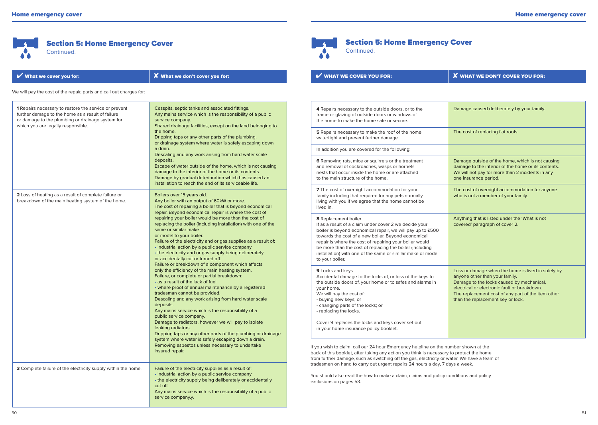Section 5: Home Emergency Cover

Continued.

 $\mathbf{A}$ **A** 



| What we cover you for:                                                                                                                                                                                                                                                                                                                                                                                                                                                                                                                                                                                                                                                                                                                                                                                                                                                                                                                                                                                                                                                                                                                                                                                                                                                                                                                                        | X What we don't cover you for:                                                                                                                                                                                                                                                                                                                                              | <b>V WHAT WE COVER YOU FOR:</b>                                                                                                                                                                                                                                                                                                                                                                              | <b>X</b> WHAT WE DON'T COVER YOU FOR:                                                                                                                                                |  |
|---------------------------------------------------------------------------------------------------------------------------------------------------------------------------------------------------------------------------------------------------------------------------------------------------------------------------------------------------------------------------------------------------------------------------------------------------------------------------------------------------------------------------------------------------------------------------------------------------------------------------------------------------------------------------------------------------------------------------------------------------------------------------------------------------------------------------------------------------------------------------------------------------------------------------------------------------------------------------------------------------------------------------------------------------------------------------------------------------------------------------------------------------------------------------------------------------------------------------------------------------------------------------------------------------------------------------------------------------------------|-----------------------------------------------------------------------------------------------------------------------------------------------------------------------------------------------------------------------------------------------------------------------------------------------------------------------------------------------------------------------------|--------------------------------------------------------------------------------------------------------------------------------------------------------------------------------------------------------------------------------------------------------------------------------------------------------------------------------------------------------------------------------------------------------------|--------------------------------------------------------------------------------------------------------------------------------------------------------------------------------------|--|
| We will pay the cost of the repair, parts and call out charges for:                                                                                                                                                                                                                                                                                                                                                                                                                                                                                                                                                                                                                                                                                                                                                                                                                                                                                                                                                                                                                                                                                                                                                                                                                                                                                           |                                                                                                                                                                                                                                                                                                                                                                             |                                                                                                                                                                                                                                                                                                                                                                                                              |                                                                                                                                                                                      |  |
| 1 Repairs necessary to restore the service or prevent<br>further damage to the home as a result of failure<br>or damage to the plumbing or drainage system for<br>which you are legally responsible.                                                                                                                                                                                                                                                                                                                                                                                                                                                                                                                                                                                                                                                                                                                                                                                                                                                                                                                                                                                                                                                                                                                                                          | Cesspits, septic tanks and associated fittings.<br>Any mains service which is the responsibility of a public<br>service company.<br>Shared drainage facilities, except on the land belonging to<br>the home.<br>Dripping taps or any other parts of the plumbing.<br>or drainage system where water is safely escaping down                                                 | 4 Repairs necessary to the outside doors, or to the<br>frame or glazing of outside doors or windows of<br>the home to make the home safe or secure.                                                                                                                                                                                                                                                          | Damage caused deliberately by your family.                                                                                                                                           |  |
|                                                                                                                                                                                                                                                                                                                                                                                                                                                                                                                                                                                                                                                                                                                                                                                                                                                                                                                                                                                                                                                                                                                                                                                                                                                                                                                                                               |                                                                                                                                                                                                                                                                                                                                                                             | 5 Repairs necessary to make the roof of the home<br>watertight and prevent further damage.                                                                                                                                                                                                                                                                                                                   | The cost of replacing flat roofs.                                                                                                                                                    |  |
|                                                                                                                                                                                                                                                                                                                                                                                                                                                                                                                                                                                                                                                                                                                                                                                                                                                                                                                                                                                                                                                                                                                                                                                                                                                                                                                                                               | a drain.<br>Descaling and any work arising from hard water scale                                                                                                                                                                                                                                                                                                            | In addition you are covered for the following:                                                                                                                                                                                                                                                                                                                                                               |                                                                                                                                                                                      |  |
|                                                                                                                                                                                                                                                                                                                                                                                                                                                                                                                                                                                                                                                                                                                                                                                                                                                                                                                                                                                                                                                                                                                                                                                                                                                                                                                                                               | deposits.<br>Escape of water outside of the home, which is not causing<br>damage to the interior of the home or its contents.<br>Damage by gradual deterioration which has caused an                                                                                                                                                                                        | 6 Removing rats, mice or squirrels or the treatment<br>and removal of cockroaches, wasps or hornets<br>nests that occur inside the home or are attached<br>to the main structure of the home.                                                                                                                                                                                                                | Damage outside of the home, which is not causing<br>damage to the interior of the home or its contents.<br>We will not pay for more than 2 incidents in any<br>one insurance period. |  |
| installation to reach the end of its serviceable life.<br>2 Loss of heating as a result of complete failure or<br>Boilers over 15 years old.<br>breakdown of the main heating system of the home.<br>Any boiler with an output of 60kW or more.<br>The cost of repairing a boiler that is beyond economical<br>repair. Beyond economical repair is where the cost of<br>repairing your boiler would be more than the cost of<br>replacing the boiler (including installation) with one of the<br>same or similar make<br>or model to your boiler.<br>Failure of the electricity and or gas supplies as a result of:<br>• industrial action by a public service company<br>• the electricity and or gas supply being deliberately<br>or accidentally cut or turned off.<br>Failure or breakdown of a component which affects<br>only the efficiency of the main heating system.<br>Failure, or complete or partial breakdown:<br>• as a result of the lack of fuel.<br>• where proof of annual maintenance by a registered<br>tradesman cannot be provided.<br>Descaling and any work arising from hard water scale<br>deposits.<br>Any mains service which is the responsibility of a<br>public service company.<br>Damage to radiators, however we will pay to isolate<br>leaking radiators.<br>Dripping taps or any other parts of the plumbing or drainage |                                                                                                                                                                                                                                                                                                                                                                             | 7 The cost of overnight accommodation for your<br>family including that required for any pets normally<br>living with you if we agree that the home cannot be<br>lived in.                                                                                                                                                                                                                                   | The cost of overnight accommodation for anyone<br>who is not a member of your family.                                                                                                |  |
|                                                                                                                                                                                                                                                                                                                                                                                                                                                                                                                                                                                                                                                                                                                                                                                                                                                                                                                                                                                                                                                                                                                                                                                                                                                                                                                                                               |                                                                                                                                                                                                                                                                                                                                                                             | 8 Replacement boiler<br>If as a result of a claim under cover 2 we decide your<br>boiler is beyond economical repair, we will pay up to £500<br>towards the cost of a new boiler. Beyond economical<br>repair is where the cost of repairing your boiler would<br>be more than the cost of replacing the boiler (including<br>installation) with one of the same or similar make or model<br>to your boiler. | Anything that is listed under the 'What is not<br>covered' paragraph of cover 2.                                                                                                     |  |
|                                                                                                                                                                                                                                                                                                                                                                                                                                                                                                                                                                                                                                                                                                                                                                                                                                                                                                                                                                                                                                                                                                                                                                                                                                                                                                                                                               | 9 Locks and keys<br>Accidental damage to the locks of, or loss of the keys to<br>the outside doors of, your home or to safes and alarms in<br>your home.<br>We will pay the cost of:<br>- buying new keys; or<br>- changing parts of the locks; or<br>- replacing the locks.<br>Cover 9 replaces the locks and keys cover set out<br>in your home insurance policy booklet. | Loss or damage when the home is lived in solely by<br>anyone other than your family.<br>Damage to the locks caused by mechanical,<br>electrical or electronic fault or breakdown.<br>The replacement cost of any part of the item other<br>than the replacement key or lock.                                                                                                                                 |                                                                                                                                                                                      |  |
|                                                                                                                                                                                                                                                                                                                                                                                                                                                                                                                                                                                                                                                                                                                                                                                                                                                                                                                                                                                                                                                                                                                                                                                                                                                                                                                                                               | system where water is safely escaping down a drain.<br>Removing asbestos unless necessary to undertake<br>insured repair.                                                                                                                                                                                                                                                   | If you wish to claim, call our 24 hour Emergency helpline on the number shown at the<br>back of this booklet, after taking any action you think is necessary to protect the home<br>from further damage, such as switching off the gas, electricity or water. We have a team of                                                                                                                              |                                                                                                                                                                                      |  |
| 3 Complete failure of the electricity supply within the home.                                                                                                                                                                                                                                                                                                                                                                                                                                                                                                                                                                                                                                                                                                                                                                                                                                                                                                                                                                                                                                                                                                                                                                                                                                                                                                 | Failure of the electricity supplies as a result of:<br>• industrial action by a public service company<br>• the electricity supply being deliberately or accidentally<br>cut off.<br>Any mains service which is the responsibility of a public<br>service company.y.                                                                                                        | tradesmen on hand to carry out urgent repairs 24 hours a day, 7 days a week.<br>You should also read the how to make a claim, claims and policy conditions and policy<br>exclusions on pages 53.                                                                                                                                                                                                             |                                                                                                                                                                                      |  |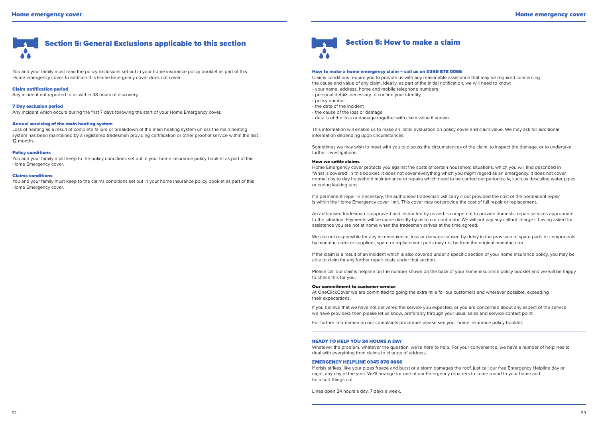

You and your family must read the policy exclusions set out in your home insurance policy booklet as part of this Home Emergency cover. In addition this Home Emergency cover does not cover:

#### Claim notification period

Any incident not reported to us within 48 hours of discovery.

#### 7 Day exclusion period

Any incident which occurs during the first 7 days following the start of your Home Emergency cover.

#### Annual servicing of the main heating system

Loss of heating as a result of complete failure or breakdown of the main heating system unless the main heating system has been maintained by a registered tradesman providing certification or other proof of service within the last 12 months.

# Policy conditions

You and your family must keep to the policy conditions set out in your home insurance policy booklet as part of this Home Emergency cover.

#### Claims conditions

You and your family must keep to the claims conditions set out in your home insurance policy booklet as part of this Home Emergency cover.



#### How to make a home emergency claim – call us on 0345 878 0066

Claims conditions require you to provide us with any reasonable assistance that may be required concerning the cause and value of any claim. Ideally, as part of the initial notification, we will need to know:

- your name, address, home and mobile telephone numbers
- personal details necessary to confirm your identity
- policy number
- the date of the incident
- the cause of the loss or damage
- details of the loss or damage together with claim value if known.

This information will enable us to make an initial evaluation on policy cover and claim value. We may ask for additional information depending upon circumstances.

Sometimes we may wish to meet with you to discuss the circumstances of the claim, to inspect the damage, or to undertake further investigations.

#### How we settle claims

Home Emergency cover protects you against the costs of certain household situations, which you will find described in 'What is covered' in this booklet. It does not cover everything which you might regard as an emergency. It does not cover normal day to day household maintenance or repairs which need to be carried out periodically, such as descaling water pipes or curing leaking taps.

If a permanent repair is necessary, the authorised tradesman will carry it out provided the cost of the permanent repair is within the Home Emergency cover limit. This cover may not provide the cost of full repair or replacement.

An authorised tradesman is approved and instructed by us and is competent to provide domestic repair services appropriate to the situation. Payments will be made directly by us to our contractor. We will not pay any callout charge if having asked for assistance you are not at home when the tradesman arrives at the time agreed.

We are not responsible for any inconvenience, loss or damage caused by delay in the provision of spare parts or components by manufacturers or suppliers; spare or replacement parts may not be from the original manufacturer.

If the claim is a result of an incident which is also covered under a specific section of your home insurance policy, you may be able to claim for any further repair costs under that section.

Please call our claims helpline on the number shown on the back of your home insurance policy booklet and we will be happy to check this for you.

#### Our commitment to customer service

At OneClickCover we are committed to going the extra mile for our customers and wherever possible, exceeding their expectations.

If you believe that we have not delivered the service you expected, or you are concerned about any aspect of the service we have provided, then please let us know, preferably through your usual sales and service contact point.

For further information on our complaints procedure please see your home insurance policy booklet.

#### READY TO HELP YOU 24 HOURS A DAY

Whatever the problem, whatever the question, we're here to help. For your convenience, we have a number of helplines to deal with everything from claims to change of address.

#### EMERGENCY HELPLINE 0345 878 0066

If crisis strikes, like your pipes freeze and burst or a storm damages the roof, just call our free Emergency Helpline day or night, any day of the year. We'll arrange for one of our Emergency repairers to come round to your home and help sort things out.

Lines open 24 hours a day, 7 days a week.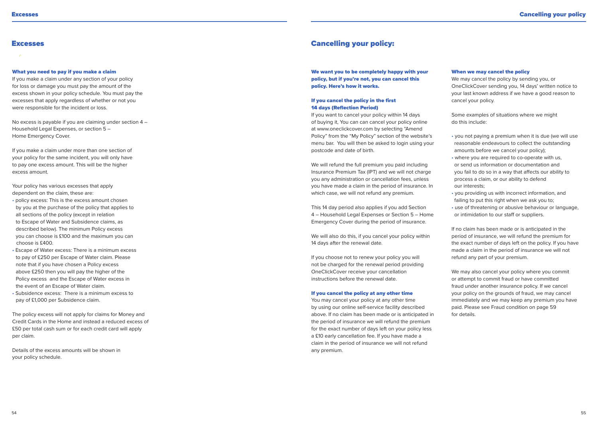# **Excesses**

# What you need to pay if you make a claim

If you make a claim under any section of your policy for loss or damage you must pay the amount of the excess shown in your policy schedule. You must pay the excesses that apply regardless of whether or not you were responsible for the incident or loss.

No excess is payable if you are claiming under section 4 – Household Legal Expenses, or section 5 – Home Emergency Cover.

If you make a claim under more than one section of your policy for the same incident, you will only have to pay one excess amount. This will be the higher excess amount.

Your policy has various excesses that apply dependent on the claim, these are:

- policy excess: This is the excess amount chosen by you at the purchase of the policy that applies to all sections of the policy (except in relation to Escape of Water and Subsidence claims, as described below). The minimum Policy excess you can choose is £100 and the maximum you can choose is £400.
- Escape of Water excess: There is a minimum excess to pay of £250 per Escape of Water claim. Please note that if you have chosen a Policy excess above £250 then you will pay the higher of the Policy excess and the Escape of Water excess in the event of an Escape of Water claim. • Subsidence excess: There is a minimum excess to pay of £1,000 per Subsidence claim.

The policy excess will not apply for claims for Money and Credit Cards in the Home and instead a reduced excess of £50 per total cash sum or for each credit card will apply per claim.

Details of the excess amounts will be shown in your policy schedule.

# Cancelling your policy:

We want you to be completely happy with your policy, but if you're not, you can cancel this policy. Here's how it works.

# If you cancel the policy in the first 14 days (Reflection Period)

If you want to cancel your policy within 14 days of buying it, You can can cancel your policy online at www.oneclickcover.com by selecting "Amend Policy" from the "My Policy" section of the website's menu bar. You will then be asked to login using your postcode and date of birth.

We will refund the full premium you paid including Insurance Premium Tax (IPT) and we will not charge you any administration or cancellation fees, unless you have made a claim in the period of insurance. In which case, we will not refund any premium.

This 14 day period also applies if you add Section 4 – Household Legal Expenses or Section 5 – Home Emergency Cover during the period of insurance.

We will also do this, if you cancel your policy within 14 days after the renewal date.

If you choose not to renew your policy you will not be charged for the renewal period providing OneClickCover receive your cancellation instructions before the renewal date.

#### If you cancel the policy at any other time

You may cancel your policy at any other time by using our online self-service facility described above. If no claim has been made or is anticipated in the period of insurance we will refund the premium for the exact number of days left on your policy less a £10 early cancellation fee. If you have made a claim in the period of insurance we will not refund any premium.

#### When we may cancel the policy

We may cancel the policy by sending you, or OneClickCover sending you, 14 days' written notice to your last known address if we have a good reason to cancel your policy.

Some examples of situations where we might do this include:

- you not paying a premium when it is due (we will use reasonable endeavours to collect the outstanding amounts before we cancel your policy);
- where you are required to co-operate with us, or send us information or documentation and you fail to do so in a way that affects our ability to process a claim, or our ability to defend our interests;
- you providing us with incorrect information, and failing to put this right when we ask you to;
- use of threatening or abusive behaviour or language, or intimidation to our staff or suppliers.

If no claim has been made or is anticipated in the period of insurance, we will refund the premium for the exact number of days left on the policy. If you have made a claim in the period of insurance we will not refund any part of your premium.

We may also cancel your policy where you commit or attempt to commit fraud or have committed fraud under another insurance policy. If we cancel your policy on the grounds of fraud, we may cancel immediately and we may keep any premium you have paid. Please see Fraud condition on page 59 for details.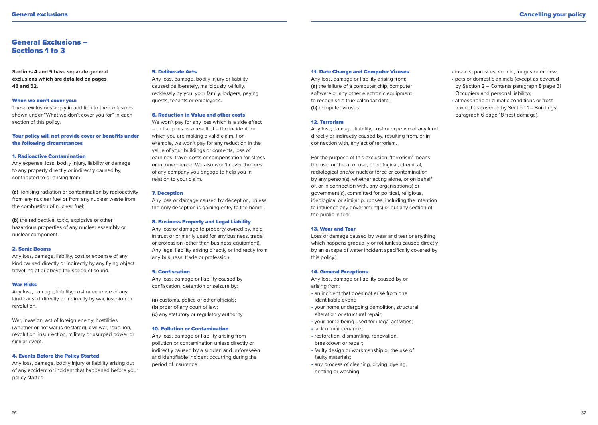# General Exclusions – Sections 1 to 3

**Sections 4 and 5 have separate general exclusions which are detailed on pages 43 and 52.**

#### When we don't cover you:

These exclusions apply in addition to the exclusions shown under "What we don't cover you for" in each section of this policy.

# Your policy will not provide cover or benefits under the following circumstances

#### 1. Radioactive Contamination

Any expense, loss, bodily injury, liability or damage to any property directly or indirectly caused by, contributed to or arising from:

**(a)** ionising radiation or contamination by radioactivity from any nuclear fuel or from any nuclear waste from the combustion of nuclear fuel;

**(b)** the radioactive, toxic, explosive or other hazardous properties of any nuclear assembly or nuclear component.

#### 2. Sonic Booms

Any loss, damage, liability, cost or expense of any kind caused directly or indirectly by any flying object travelling at or above the speed of sound.

### War Risks

Any loss, damage, liability, cost or expense of any kind caused directly or indirectly by war, invasion or revolution.

War, invasion, act of foreign enemy, hostilities (whether or not war is declared), civil war, rebellion, revolution, insurrection, military or usurped power or similar event.

#### 4. Events Before the Policy Started

Any loss, damage, bodily injury or liability arising out of any accident or incident that happened before your policy started.

#### 5. Deliberate Acts

Any loss, damage, bodily injury or liability caused deliberately, maliciously, wilfully, recklessly by you, your family, lodgers, paying guests, tenants or employees.

#### 6. Reduction in Value and other costs

We won't pay for any loss which is a side effect – or happens as a result of – the incident for which you are making a valid claim. For example, we won't pay for any reduction in the value of your buildings or contents, loss of earnings, travel costs or compensation for stress or inconvenience. We also won't cover the fees of any company you engage to help you in relation to your claim.

#### 7. Deception

Any loss or damage caused by deception, unless the only deception is gaining entry to the home.

### 8. Business Property and Legal Liability

Any loss or damage to property owned by, held in trust or primarily used for any business, trade or profession (other than business equipment). Any legal liability arising directly or indirectly from any business, trade or profession.

### 9. Confiscation

Any loss, damage or liability caused by confiscation, detention or seizure by:

**(a)** customs, police or other officials; **(b)** order of any court of law; **(c)** any statutory or regulatory authority.

### 10. Pollution or Contamination

Any loss, damage or liability arising from pollution or contamination unless directly or indirectly caused by a sudden and unforeseen and identifiable incident occurring during the period of insurance.

#### 11. Date Change and Computer Viruses

Any loss, damage or liability arising from: **(a)** the failure of a computer chip, computer software or any other electronic equipment to recognise a true calendar date; **(b)** computer viruses.

#### 12. Terrorism

Any loss, damage, liability, cost or expense of any kind directly or indirectly caused by, resulting from, or in connection with, any act of terrorism.

For the purpose of this exclusion, 'terrorism' means the use, or threat of use, of biological, chemical, radiological and/or nuclear force or contamination by any person(s), whether acting alone, or on behalf of, or in connection with, any organisation(s) or government(s), committed for political, religious, ideological or similar purposes, including the intention to influence any government(s) or put any section of the public in fear.

### 13. Wear and Tear

Loss or damage caused by wear and tear or anything which happens gradually or rot (unless caused directly by an escape of water incident specifically covered by this policy.)

### 14. General Exceptions

Any loss, damage or liability caused by or arising from:

- an incident that does not arise from one identifiable event;
- your home undergoing demolition, structural alteration or structural repair;
- your home being used for illegal activities;
- lack of maintenance;
- restoration, dismantling, renovation breakdown or repair;
- faulty design or workmanship or the use of faulty materials;
- any process of cleaning, drying, dyeing, heating or washing;
- insects, parasites, vermin, fungus or mildew;
- pets or domestic animals (except as covered by Section 2 – Contents paragraph 8 page 31 Occupiers and personal liability);
- atmospheric or climatic conditions or frost (except as covered by Section 1 – Buildings paragraph 6 page 18 frost damage).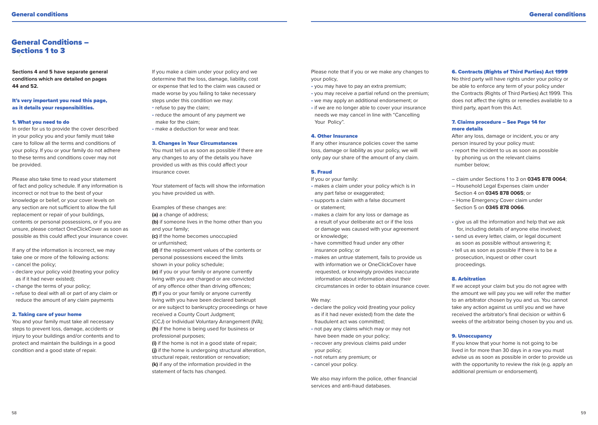# General Conditions – Sections 1 to 3

**Sections 4 and 5 have separate general conditions which are detailed on pages 44 and 52.**

# It's very important you read this page, as it details your responsibilities.

#### 1. What you need to do

In order for us to provide the cover described in your policy you and your family must take care to follow all the terms and conditions of your policy. If you or your family do not adhere to these terms and conditions cover may not be provided.

Please also take time to read your statement of fact and policy schedule. If any information is incorrect or not true to the best of your knowledge or belief, or your cover levels on any section are not sufficient to allow the full replacement or repair of your buildings, contents or personal possessions, or if you are unsure, please contact OneClickCover as soon as possible as this could affect your insurance cover.

If any of the information is incorrect, we may take one or more of the following actions: • cancel the policy;

- declare your policy void (treating your policy as if it had never existed);
- change the terms of your policy;
- refuse to deal with all or part of any claim or reduce the amount of any claim payments

#### 2. Taking care of your home

You and your family must take all necessary steps to prevent loss, damage, accidents or injury to your buildings and/or contents and to protect and maintain the buildings in a good condition and a good state of repair.

If you make a claim under your policy and we determine that the loss, damage, liability, cost or expense that led to the claim was caused or made worse by you failing to take necessary steps under this condition we may:

- refuse to pay the claim;
- reduce the amount of any payment we make for the claim;
- make a deduction for wear and tear.

#### 3. Changes in Your Circumstances

You must tell us as soon as possible if there are any changes to any of the details you have provided us with as this could affect your insurance cover.

Your statement of facts will show the information you have provided us with.

Examples of these changes are: **(a)** a change of address; **(b)** if someone lives in the home other than you and your family;

**(c)** if the home becomes unoccupied or unfurnished;

**(d)** if the replacement values of the contents or personal possessions exceed the limits shown in your policy schedule; **(e)** if you or your family or anyone currently

living with you are charged or are convicted of any offence other than driving offences; **(f)** if you or your family or anyone currently living with you have been declared bankrupt or are subject to bankruptcy proceedings or have received a County Court Judgment;

(CCJ) or Individual Voluntary Arrangement (IVA); **(h)** if the home is being used for business or professional purposes;

**(i)** if the home is not in a good state of repair; **(j)** if the home is undergoing structural alteration, structural repair, restoration or renovation; **(k)** if any of the information provided in the statement of facts has changed.

Please note that if you or we make any changes to your policy,

- you may have to pay an extra premium;
- you may receive a partial refund on the premium;
- we may apply an additional endorsement; or
- if we are no longer able to cover your insurance needs we may cancel in line with "Cancelling Your Policy".

#### 4. Other Insurance

If any other insurance policies cover the same loss, damage or liability as your policy, we will only pay our share of the amount of any claim.

# 5. Fraud

If you or your family:

- makes a claim under your policy which is in any part false or exaggerated;
- supports a claim with a false document or statement;
- makes a claim for any loss or damage as a result of your deliberate act or if the loss or damage was caused with your agreement or knowledge;
- have committed fraud under any other insurance policy; or
- makes an untrue statement, fails to provide us with information we or OneClickCover have requested, or knowingly provides inaccurate information about information about their circumstances in order to obtain insurance cover.

#### We may:

- declare the policy void (treating your policy as if it had never existed) from the date the fraudulent act was committed;
- not pay any claims which may or may not have been made on your policy;
- recover any previous claims paid under your policy;
- not return any premium; or
- cancel your policy.

We also may inform the police, other financial services and anti-fraud databases.

#### 6. Contracts (Rights of Third Parties) Act 1999

No third party will have rights under your policy or be able to enforce any term of your policy under the Contracts (Rights of Third Parties) Act 1999. This does not affect the rights or remedies available to a third party, apart from this Act.

# 7. Claims procedure – See Page 14 for more details

After any loss, damage or incident, you or any person insured by your policy must:

- report the incident to us as soon as possible by phoning us on the relevant claims number below;
- claim under Sections 1 to 3 on **0345 878 0064**;
- Household Legal Expenses claim under Section 4 on **0345 878 0065**; or
- Home Emergency Cover claim under Section 5 on **0345 878 0066**.
- give us all the information and help that we ask for, including details of anyone else involved;
- send us every letter, claim, or legal document as soon as possible without answering it;
- tell us as soon as possible if there is to be a prosecution, inquest or other court proceedings.

#### 8. Arbitration

If we accept your claim but you do not agree with the amount we will pay you we will refer the matter to an arbitrator chosen by you and us. You cannot take any action against us until you and we have received the arbitrator's final decision or within 6 weeks of the arbitrator being chosen by you and us.

# 9. Unoccupancy

If you know that your home is not going to be lived in for more than 30 days in a row you must advise us as soon as possible in order to provide us with the opportunity to review the risk (e.g. apply an additional premium or endorsement).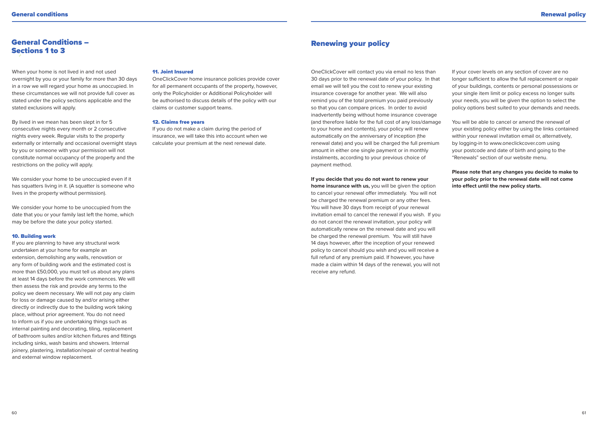# General Conditions – Sections 1 to 3

When your home is not lived in and not used overnight by you or your family for more than 30 days in a row we will regard your home as unoccupied. In these circumstances we will not provide full cover as stated under the policy sections applicable and the stated exclusions will apply.

By lived in we mean has been slept in for 5 consecutive nights every month or 2 consecutive nights every week. Regular visits to the property externally or internally and occasional overnight stays by you or someone with your permission will not constitute normal occupancy of the property and the restrictions on the policy will apply.

We consider your home to be unoccupied even if it has squatters living in it. (A squatter is someone who lives in the property without permission).

We consider your home to be unoccupied from the date that you or your family last left the home, which may be before the date your policy started.

#### 10. Building work

If you are planning to have any structural work undertaken at your home for example an extension, demolishing any walls, renovation or any form of building work and the estimated cost is more than £50,000, you must tell us about any plans at least 14 days before the work commences. We will then assess the risk and provide any terms to the policy we deem necessary. We will not pay any claim for loss or damage caused by and/or arising either directly or indirectly due to the building work taking place, without prior agreement. You do not need to inform us if you are undertaking things such as internal painting and decorating, tiling, replacement of bathroom suites and/or kitchen fixtures and fittings including sinks, wash basins and showers. Internal joinery, plastering, installation/repair of central heating and external window replacement.

# 11. Joint Insured

OneClickCover home insurance policies provide cover for all permanent occupants of the property, however, only the Policyholder or Additional Policyholder will be authorised to discuss details of the policy with our claims or customer support teams.

#### 12. Claims free years

If you do not make a claim during the period of insurance, we will take this into account when we calculate your premium at the next renewal date.

# Renewing your policy

OneClickCover will contact you via email no less than 30 days prior to the renewal date of your policy. In that email we will tell you the cost to renew your existing insurance coverage for another year. We will also remind you of the total premium you paid previously so that you can compare prices. In order to avoid inadvertently being without home insurance coverage (and therefore liable for the full cost of any loss/damage to your home and contents), your policy will renew automatically on the anniversary of inception (the renewal date) and you will be charged the full premium amount in either one single payment or in monthly instalments, according to your previous choice of payment method.

# **If you decide that you do not want to renew your**

**home insurance with us,** you will be given the option to cancel your renewal offer immediately. You will not be charged the renewal premium or any other fees. You will have 30 days from receipt of your renewal invitation email to cancel the renewal if you wish. If you do not cancel the renewal invitation, your policy will automatically renew on the renewal date and you will be charged the renewal premium. You will still have 14 days however, after the inception of your renewed policy to cancel should you wish and you will receive a full refund of any premium paid. If however, you have made a claim within 14 days of the renewal, you will not receive any refund.

If your cover levels on any section of cover are no longer sufficient to allow the full replacement or repair of your buildings, contents or personal possessions or your single item limit or policy excess no longer suits your needs, you will be given the option to select the policy options best suited to your demands and needs.

You will be able to cancel or amend the renewal of your existing policy either by using the links contained within your renewal invitation email or, alternatively, by logging-in to www.oneclickcover.com using your postcode and date of birth and going to the "Renewals" section of our website menu.

**Please note that any changes you decide to make to your policy prior to the renewal date will not come into effect until the new policy starts.**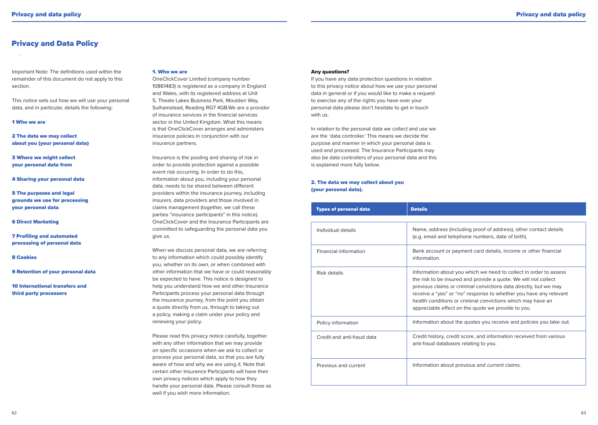# Privacy and Data Policy

# Important Note: The definitions used within the remainder of this document do not apply to this section.

This notice sets out how we will use your personal data, and in particular, details the following:

### 1 Who we are

2 The data we may collect about you (your personal data)

3 Where we might collect your personal data from

4 Sharing your personal data

5 The purposes and legal grounds we use for processing your personal data

6 Direct Marketing

7 Profiling and automated processing of personal data

8 Cookies

9 Retention of your personal data

10 International transfers and third party processors

# 1. Who we are

OneClickCover Limited (company number 10861483) is registered as a company in England and Wales, with its registered address at Unit 5, Theale Lakes Business Park, Moulden Way, Sulhamstead, Reading RG7 4GB.We are a provider of insurance services in the financial services sector in the United Kingdom. What this means is that OneClickCover arranges and administers insurance policies in conjunction with our insurance partners.

Insurance is the pooling and sharing of risk in order to provide protection against a possible event risk occurring. In order to do this, information about you, including your personal data, needs to be shared between different providers within the insurance journey, including insurers, data providers and those involved in claims management (together, we call these parties "insurance participants" in this notice). OneClickCover and the Insurance Participants are committed to safeguarding the personal data you give us.

When we discuss personal data, we are referring to any information which could possibly identify you, whether on its own, or when combined with other information that we have or could reasonably be expected to have. This notice is designed to help you understand how we and other Insurance Participants process your personal data through the insurance journey, from the point you obtain a quote directly from us, through to taking out a policy, making a claim under your policy and renewing your policy.

Please read this privacy notice carefully, together with any other information that we may provide on specific occasions when we ask to collect or process your personal data, so that you are fully aware of how and why we are using it. Note that certain other Insurance Participants will have their own privacy notices which apply to how they handle your personal data. Please consult those as well if you wish more information.

### Any questions?

If you have any data protection questions in relation to this privacy notice about how we use your personal data in general or if you would like to make a request to exercise any of the rights you have over your personal data please don't hesitate to get in touch with us.

In relation to the personal data we collect and use we are the 'data controller.' This means we decide the purpose and manner in which your personal data is used and processed. The Insurance Participants may also be data controllers of your personal data and this is explained more fully below.

# 2. The data we may collect about you (your personal data).

| <b>Types of personal data</b> | <b>Details</b>                                                                                                                                                                                                                                                                                                                                                                                      |
|-------------------------------|-----------------------------------------------------------------------------------------------------------------------------------------------------------------------------------------------------------------------------------------------------------------------------------------------------------------------------------------------------------------------------------------------------|
|                               |                                                                                                                                                                                                                                                                                                                                                                                                     |
| Individual details            | Name, address (including proof of address), other contact details<br>(e.g. email and telephone numbers, date of birth).                                                                                                                                                                                                                                                                             |
| <b>Financial information</b>  | Bank account or payment card details, income or other financial<br>information.                                                                                                                                                                                                                                                                                                                     |
| Risk details                  | Information about you which we need to collect in order to assess<br>the risk to be insured and provide a quote. We will not collect<br>previous claims or criminal convictions data directly, but we may<br>receive a "yes" or "no" response to whether you have any relevant<br>health conditions or criminal convictions which may have an<br>appreciable effect on the quote we provide to you. |
| Policy information            | Information about the quotes you receive and policies you take out.                                                                                                                                                                                                                                                                                                                                 |
| Credit and anti-fraud data    | Credit history, credit score, and information received from various<br>anti-fraud databases relating to you.                                                                                                                                                                                                                                                                                        |
| Previous and current          | Information about previous and current claims.                                                                                                                                                                                                                                                                                                                                                      |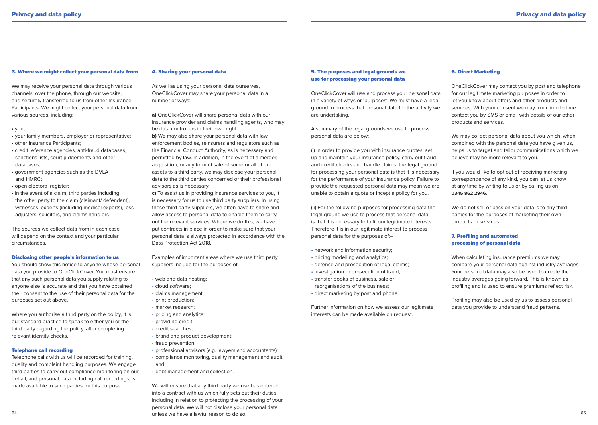#### 3. Where we might collect your personal data from

We may receive your personal data through various channels; over the phone, through our website, and securely transferred to us from other Insurance Participants. We might collect your personal data from various sources, including:

#### • you;

- your family members, employer or representative;
- other Insurance Participants;
- credit reference agencies, anti-fraud databases, sanctions lists, court judgements and other databases;
- government agencies such as the DVLA and HMRC;
- open electoral register;
- in the event of a claim, third parties including the other party to the claim (claimant/ defendant), witnesses, experts (including medical experts), loss adjusters, solicitors, and claims handlers

The sources we collect data from in each case will depend on the context and your particular circumstances.

#### Disclosing other people's information to us

You should show this notice to anyone whose personal data you provide to OneClickCover. You must ensure that any such personal data you supply relating to anyone else is accurate and that you have obtained their consent to the use of their personal data for the purposes set out above.

Where you authorise a third party on the policy, it is our standard practice to speak to either you or the third party regarding the policy, after completing relevant identity checks.

#### Telephone call recording

Telephone calls with us will be recorded for training, quality and complaint handling purposes. We engage third parties to carry out compliance monitoring on our behalf, and personal data including call recordings, is made available to such parties for this purpose.

#### 4. Sharing your personal data

As well as using your personal data ourselves, OneClickCover may share your personal data in a number of ways:

**a)** OneClickCover will share personal data with our insurance provider and claims handling agents, who may be data controllers in their own right. **b)** We may also share your personal data with law enforcement bodies, reinsurers and regulators such as the Financial Conduct Authority, as is necessary and permitted by law. In addition, in the event of a merger, acquisition, or any form of sale of some or all of our assets to a third party, we may disclose your personal data to the third parties concerned or their professional advisors as is necessary.

**c)** To assist us in providing insurance services to you, it is necessary for us to use third party suppliers. In using these third party suppliers, we often have to share and allow access to personal data to enable them to carry out the relevant services. Where we do this, we have put contracts in place in order to make sure that your personal data is always protected in accordance with the Data Protection Act 2018.

Examples of important areas where we use third party suppliers include for the purposes of:

- web and data hosting;
- cloud software;
- claims management;
- print production:
- market research;
- pricing and analytics;
- providing credit;
- credit searches;
- brand and product development;
- fraud prevention;
- professional advisors (e.g. lawyers and accountants);
- compliance monitoring, quality management and audit; and
- debt management and collection.

64 65 unless we have a lawful reason to do so. We will ensure that any third party we use has entered into a contract with us which fully sets out their duties, including in relation to protecting the processing of your personal data. We will not disclose your personal data

# 5. The purposes and legal grounds we use for processing your personal data

OneClickCover will use and process your personal data in a variety of ways or 'purposes'. We must have a legal ground to process that personal data for the activity we are undertaking.

A summary of the legal grounds we use to process personal data are below:

(i) In order to provide you with insurance quotes, set up and maintain your insurance policy, carry out fraud and credit checks and handle claims the legal ground for processing your personal data is that it is necessary for the performance of your insurance policy. Failure to provide the requested personal data may mean we are unable to obtain a quote or incept a policy for you.

(ii) For the following purposes for processing data the legal ground we use to process that personal data is that it is necessary to fulfil our legitimate interests. Therefore it is in our legitimate interest to process personal data for the purposes of:–

- network and information security;
- pricing modelling and analytics;
- defence and prosecution of legal claims:
- investigation or prosecution of fraud;
- transfer books of business, sale or reorganisations of the business;
- direct marketing by post and phone.

Further information on how we assess our legitimate interests can be made available on request.

# 6. Direct Marketing

OneClickCover may contact you by post and telephone for our legitimate marketing purposes in order to let you know about offers and other products and services. With your consent we may from time to time contact you by SMS or email with details of our other products and services.

We may collect personal data about you which, when combined with the personal data you have given us, helps us to target and tailor communications which we believe may be more relevant to you.

If you would like to opt out of receiving marketing correspondence of any kind, you can let us know at any time by writing to us or by calling us on **0345 862 2946**.

We do not sell or pass on your details to any third parties for the purposes of marketing their own products or services.

# 7. Profiling and automated processing of personal data

When calculating insurance premiums we may compare your personal data against industry averages. Your personal data may also be used to create the industry averages going forward. This is known as profiling and is used to ensure premiums reflect risk.

Profiling may also be used by us to assess personal data you provide to understand fraud patterns.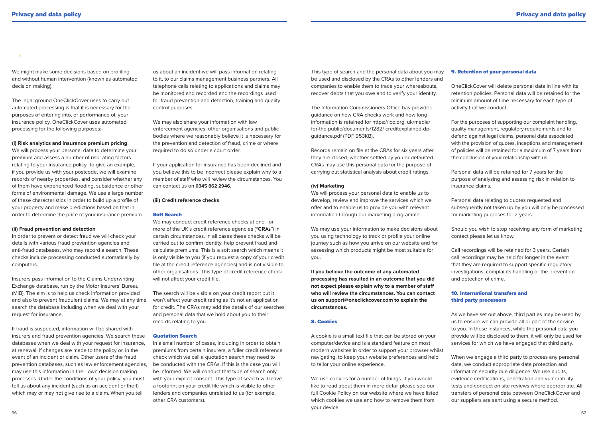We might make some decisions based on profiling and without human intervention (known as automated decision making).

The legal ground OneClickCover uses to carry out automated processing is that it is necessary for the purposes of entering into, or performance of, your insurance policy. OneClickCover uses automated processing for the following purposes:-

# **(i) Risk analytics and insurance premium pricing**

We will process your personal data to determine your premium and assess a number of risk rating factors relating to your insurance policy. To give an example, if you provide us with your postcode, we will examine records of nearby properties, and consider whether any of them have experienced flooding, subsidence or other forms of environmental damage. We use a large number of these characteristics in order to build up a profile of your property and make predictions based on that in order to determine the price of your insurance premium.

#### **(ii) Fraud prevention and detection**

In order to prevent or detect fraud we will check your details with various fraud prevention agencies and anti-fraud databases, who may record a search. These checks include processing conducted automatically by computers.

Insurers pass information to the Claims Underwriting Exchange database, run by the Motor Insurers' Bureau (MIB). The aim is to help us check information provided and also to prevent fraudulent claims. We may at any time search the database including when we deal with your request for insurance.

If fraud is suspected, information will be shared with insurers and fraud prevention agencies. We search these databases when we deal with your request for insurance, at renewal, if changes are made to the policy or, in the event of an incident or claim. Other users of the fraud prevention databases, such as law enforcement agencies, may use this information in their own decision making processes. Under the conditions of your policy, you must tell us about any incident (such as an accident or theft) which may or may not give rise to a claim. When you tell

us about an incident we will pass information relating to it, to our claims management business partners. All telephone calls relating to applications and claims may be monitored and recorded and the recordings used for fraud prevention and detection, training and quality control purposes.

We may also share your information with law enforcement agencies, other organisations and public bodies where we reasonably believe it is necessary for the prevention and detection of fraud, crime or where required to do so under a court order.

If your application for insurance has been declined and you believe this to be incorrect please explain why to a member of staff who will review the circumstances. You can contact us on **0345 862 2946**.

#### **(iii) Credit reference checks**

# Soft Search

We may conduct credit reference checks at one or more of the UK's credit reference agencies ("CRAs") in certain circumstances. In all cases these checks will be carried out to confirm identity, help prevent fraud and calculate premiums. This is a soft search which means it is only visible to you (if you request a copy of your credit file at the credit reference agencies) and is not visible to other organisations. This type of credit reference check will not affect your credit file.

The search will be visible on your credit report but it won't affect your credit rating as it's not an application for credit. The CRAs may add the details of our searches and personal data that we hold about you to their records relating to you.

### Quotation Search

In a small number of cases, including in order to obtain premiums from certain insurers, a fuller credit reference check which we call a quotation search may need to be conducted with the CRAs. If this is the case you will be informed. We will conduct that type of search only with your explicit consent. This type of search will leave a footprint on your credit file which is visible to other lenders and companies unrelated to us (for example, other CRA customers).

This type of search and the personal data about you may be used and disclosed by the CRAs to other lenders and companies to enable them to trace your whereabouts, recover debts that you owe and to verify your identity.

The Information Commissioners Office has provided guidance on how CRA checks work and how long information is retained for https://ico.org. uk/media/ for-the public/documents/1282/ creditexplained-dpguidance.pdf (PDF 953KB).

Records remain on file at the CRAs for six years after they are closed, whether settled by you or defaulted. CRAs may use this personal data for the purpose of carrying out statistical analysis about credit ratings.

#### **(iv) Marketing**

We will process your personal data to enable us to develop, review and improve the services which we offer and to enable us to provide you with relevant information through our marketing programme.

We may use your information to make decisions about you using technology to track or profile your online journey such as how you arrive on our website and for assessing which products might be most suitable for you.

**If you believe the outcome of any automated processing has resulted in an outcome that you did not expect please explain why to a member of staff who will review the circumstances. You can contact us on support@oneclickcover.com to explain the circumstances.**

# 8. Cookies

A cookie is a small text file that can be stored on your computer/device and is a standard feature on most modern websites in order to support your browser whilst navigating, to keep your website preferences and help to tailor your online experience.

We use cookies for a number of things. If you would like to read about them in more detail please see our full Cookie Policy on our website where we have listed which cookies we use and how to remove them from your device.

#### 9. Retention of your personal data

OneClickCover will delete personal data in line with its retention policies. Personal data will be retained for the minimum amount of time necessary for each type of activity that we conduct.

For the purposes of supporting our complaint handling, quality management, regulatory requirements and to defend against legal claims, personal data associated with the provision of quotes, inceptions and management of policies will be retained for a maximum of 7 years from the conclusion of your relationship with us.

Personal data will be retained for 7 years for the purpose of analysing and assessing risk in relation to insurance claims.

Personal data relating to quotes requested and subsequently not taken up by you will only be processed for marketing purposes for 2 years.

Should you wish to stop receiving any form of marketing contact please let us know.

Call recordings will be retained for 3 years. Certain call recordings may be held for longer in the event that they are required to support specific regulatory investigations, complaints handling or the prevention and detection of crime.

# 10. International transfers and third party processors

As we have set out above, third parties may be used by us to ensure we can provide all or part of the service to you. In these instances, while the personal data you provide will be disclosed to them, it will only be used for services for which we have engaged that third party.

When we engage a third party to process any personal data, we conduct appropriate data protection and information security due diligence. We use audits, evidence certifications, penetration and vulnerability tests and conduct on site reviews where appropriate. All transfers of personal data between OneClickCover and our suppliers are sent using a secure method.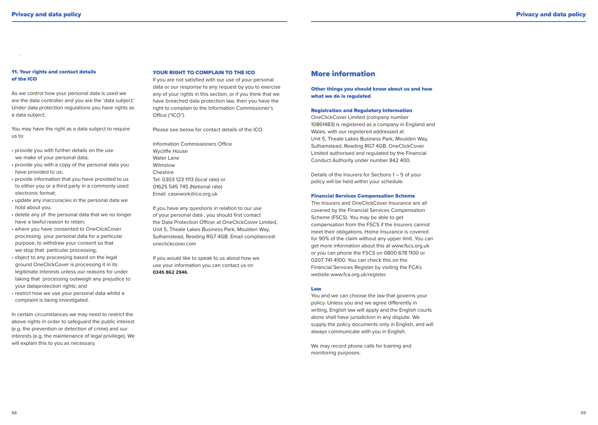### 11. Your rights and contact details of the ICO

As we control how your personal data is used we are the data controller and you are the 'data subject.' Under data protection regulations you have rights as a data subject.

You may have the right as a data subject to require us to:

- provide you with further details on the use we make of your personal data;
- provide you with a copy of the personal data you have provided to us;
- provide information that you have provided to us to either you or a third party in a commonly-used electronic format;
- update any inaccuracies in the personal data we hold about you;
- delete any of the personal data that we no longer have a lawful reason to retain;
- where you have consented to OneClickCover processing your personal data for a particular purpose, to withdraw your consent so that we stop that particular processing:
- object to any processing based on the legal ground OneClickCover is processing it in its legitimate interests unless our reasons for under taking that processing outweigh any prejudice to your dataprotection rights; and
- restrict how we use your personal data whilst a complaint is being investigated.

In certain circumstances we may need to restrict the above rights in order to safeguard the public interest (e.g. the prevention or detection of crime) and our interests (e.g. the maintenance of legal privilege). We will explain this to you as necessary.

# YOUR RIGHT TO COMPLAIN TO THE ICO

If you are not satisfied with our use of your personal data or our response to any request by you to exercise any of your rights in this section, or if you think that we have breached data protection law, then you have the right to complain to the Information Commissioner's Office ("ICO").

Please see below for contact details of the ICO

Information Commissioners Office Wycliffe House Water Lane Wilmslow Cheshire Tel: 0303 123 1113 (local rate) or 01625 545 745 (National rate) Email: casework@ico.org.uk

If you have any questions in relation to our use of your personal data , you should first contact the Data Protection Officer at OneClickCover Limited, Unit 5, Theale Lakes Business Park, Moulden Way, Sulhamstead, Reading RG7 4GB. Email compliance@ oneclickcover.com

If you would like to speak to us about how we use your information you can contact us on **0345 862 2946**.

# More information

# Other things you should know about us and how what we do is regulated

# Registration and Regulatory Information

OneClickCover Limited (company number 10861483) is registered as a company in England and Wales, with our registered addressed at Unit 5, Theale Lakes Business Park, Moulden Way, Sulhamstead, Reading RG7 4GB. OneClickCover Limited authorised and regulated by the Financial Conduct Authority under number 842 400.

Details of the Insurers for Sections 1 – 5 of your policy will be held within your schedule.

# Financial Services Compensation Scheme

The Insurers and OneClickCover Insurance are all covered by the Financial Services Compensation Scheme (FSCS). You may be able to get compensation from the FSCS if the Insurers cannot meet their obligations. Home Insurance is covered for 90% of the claim without any upper limit. You can get more information about this at www.fscs.org.uk or you can phone the FSCS on 0800 678 1100 or 0207 741 4100. You can check this on the Financial Services Register by visiting the FCA's website www.fca.org.uk/register.

# Law

You and we can choose the law that governs your policy. Unless you and we agree differently in writing, English law will apply and the English courts alone shall have jurisdiction in any dispute. We supply the policy documents only in English, and will always communicate with you in English.

We may record phone calls for training and monitoring purposes.